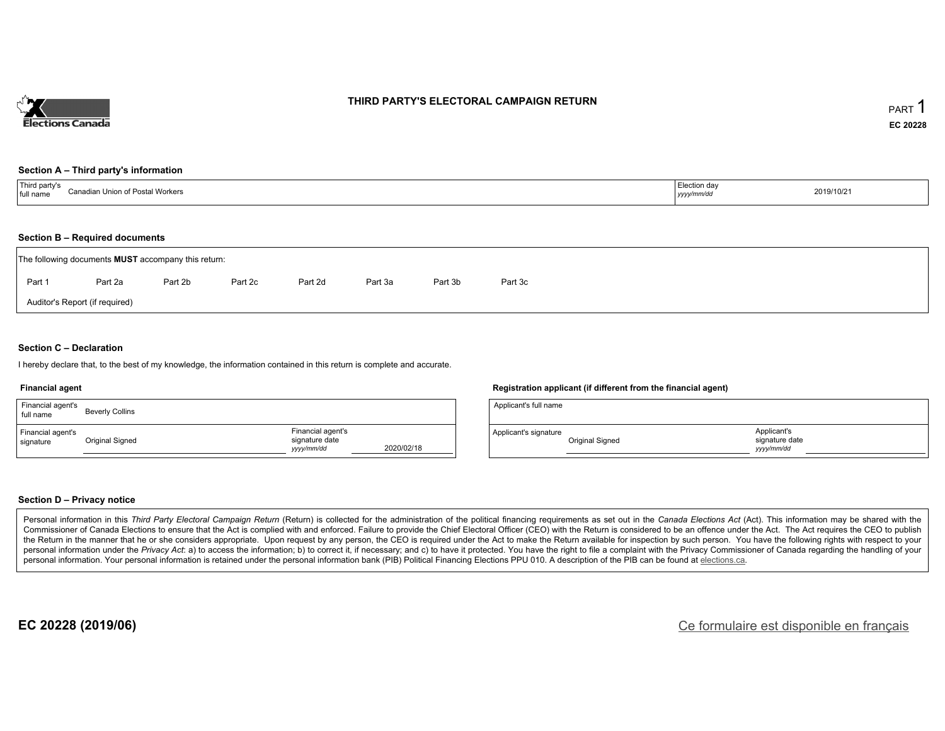

#### **THIRD PARTY'S ELECTORAL CAMPAIGN RETURN**

#### **Section A – Third party's information**

| Third party's                    | ection dav. |            |
|----------------------------------|-------------|------------|
| Canadian Union of Postal Workers |             | 2019/10/21 |
| full name                        | yyyymm/aa   |            |

#### **Section B – Required documents**

|                                | The following documents <b>MUST</b> accompany this return: |         |         |         |         |         |         |  |  |  |  |  |
|--------------------------------|------------------------------------------------------------|---------|---------|---------|---------|---------|---------|--|--|--|--|--|
| Part 1                         | Part 2a                                                    | Part 2b | Part 2c | Part 2d | Part 3a | Part 3b | Part 3c |  |  |  |  |  |
| Auditor's Report (if required) |                                                            |         |         |         |         |         |         |  |  |  |  |  |

#### **Section C – Declaration**

I hereby declare that, to the best of my knowledge, the information contained in this return is complete and accurate.

#### **Financial agent**

| Financial agent's<br>full name | <b>Beverly Collins</b> |                                                   |            |
|--------------------------------|------------------------|---------------------------------------------------|------------|
| Financial agent's<br>signature | Original Signed        | Financial agent's<br>signature date<br>yyyy/mm/dd | 2020/02/18 |

#### **Registration applicant (if different from the financial agent)**

| Applicant's full name |                 |                                             |  |
|-----------------------|-----------------|---------------------------------------------|--|
| Applicant's signature | Original Signed | Applicant's<br>signature date<br>vyyy/mm/dd |  |

#### **Section D – Privacy notice**

Personal information in this Third Party Electoral Campaign Return (Return) is collected for the administration of the political financing requirements as set out in the Canada Elections Act (Act). This information may be Commissioner of Canada Elections to ensure that the Act is complied with and enforced. Failure to provide the Chief Electoral Officer (CEO) with the Return is considered to be an offence under the Act. The Act requires the the Return in the manner that he or she considers appropriate. Upon request by any person, the CEO is required under the Act to make the Return available for inspection by such person. You have the following rights with re personal information under the Privacy Act: a) to access the information; b) to correct it, if necessary; and c) to have it protected. You have the right to file a complaint with the Privacy Commissioner of Canada regardin personal information. Your personal information is retained under the personal information bank (PIB) Political Financing Elections PPU 010. A description of the PIB can be found at elections.ca.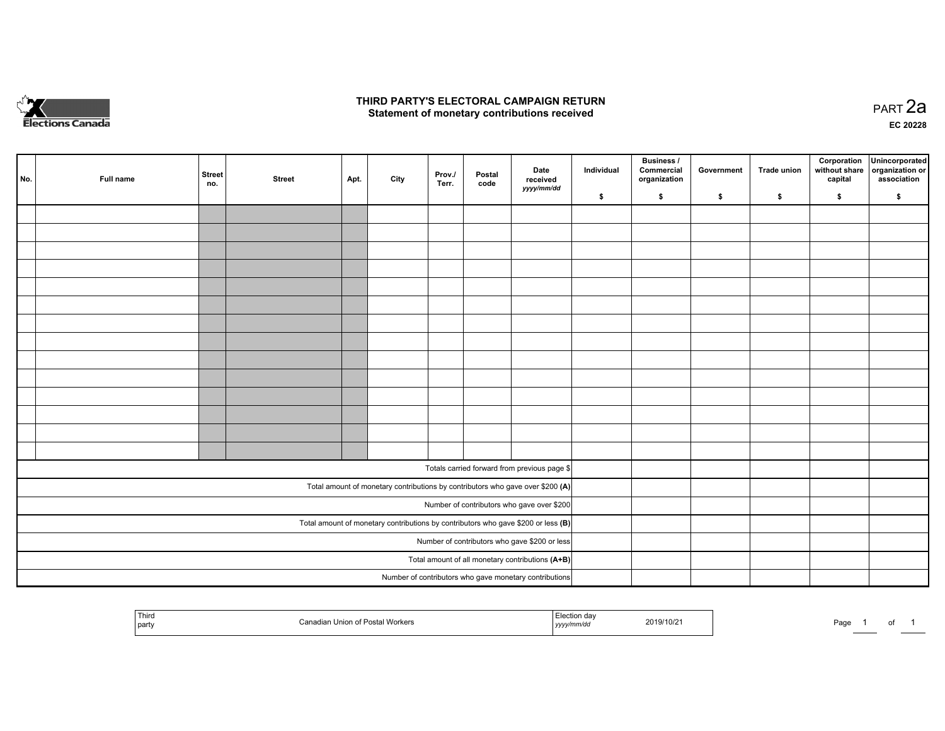

#### **THIRD PARTY'S ELECTORAL CAMPAIGN RETURN HIRD PARTY'S ELECTORAL CAMPAIGN RETURN<br>Statement of monetary contributions received PART 2a PART 2a**

**EC 20228**

| No. | Full name                                     | <b>Street</b><br>no. | <b>Street</b> | Apt. | City | Prov./<br>Terr. | Postal<br>code | Date<br>received                                                                    | Individual | <b>Business /</b><br>Commercial<br>organization | Government | Trade union | Corporation<br>without share<br>capital | Unincorporated<br>organization or<br>association |
|-----|-----------------------------------------------|----------------------|---------------|------|------|-----------------|----------------|-------------------------------------------------------------------------------------|------------|-------------------------------------------------|------------|-------------|-----------------------------------------|--------------------------------------------------|
|     |                                               |                      |               |      |      |                 |                | yyyy/mm/dd                                                                          | \$         | \$                                              | \$         | \$          | \$                                      | \$                                               |
|     |                                               |                      |               |      |      |                 |                |                                                                                     |            |                                                 |            |             |                                         |                                                  |
|     |                                               |                      |               |      |      |                 |                |                                                                                     |            |                                                 |            |             |                                         |                                                  |
|     |                                               |                      |               |      |      |                 |                |                                                                                     |            |                                                 |            |             |                                         |                                                  |
|     |                                               |                      |               |      |      |                 |                |                                                                                     |            |                                                 |            |             |                                         |                                                  |
|     |                                               |                      |               |      |      |                 |                |                                                                                     |            |                                                 |            |             |                                         |                                                  |
|     |                                               |                      |               |      |      |                 |                |                                                                                     |            |                                                 |            |             |                                         |                                                  |
|     |                                               |                      |               |      |      |                 |                |                                                                                     |            |                                                 |            |             |                                         |                                                  |
|     |                                               |                      |               |      |      |                 |                |                                                                                     |            |                                                 |            |             |                                         |                                                  |
|     |                                               |                      |               |      |      |                 |                |                                                                                     |            |                                                 |            |             |                                         |                                                  |
|     |                                               |                      |               |      |      |                 |                |                                                                                     |            |                                                 |            |             |                                         |                                                  |
|     |                                               |                      |               |      |      |                 |                |                                                                                     |            |                                                 |            |             |                                         |                                                  |
|     |                                               |                      |               |      |      |                 |                |                                                                                     |            |                                                 |            |             |                                         |                                                  |
|     |                                               |                      |               |      |      |                 |                |                                                                                     |            |                                                 |            |             |                                         |                                                  |
|     |                                               |                      |               |      |      |                 |                |                                                                                     |            |                                                 |            |             |                                         |                                                  |
|     |                                               |                      |               |      |      |                 |                | Totals carried forward from previous page \$                                        |            |                                                 |            |             |                                         |                                                  |
|     |                                               |                      |               |      |      |                 |                | Total amount of monetary contributions by contributors who gave over \$200 (A)      |            |                                                 |            |             |                                         |                                                  |
|     | Number of contributors who gave over \$200    |                      |               |      |      |                 |                |                                                                                     |            |                                                 |            |             |                                         |                                                  |
|     |                                               |                      |               |      |      |                 |                | Total amount of monetary contributions by contributors who gave \$200 or less $(B)$ |            |                                                 |            |             |                                         |                                                  |
|     | Number of contributors who gave \$200 or less |                      |               |      |      |                 |                |                                                                                     |            |                                                 |            |             |                                         |                                                  |
|     |                                               |                      |               |      |      |                 |                | Total amount of all monetary contributions (A+B)                                    |            |                                                 |            |             |                                         |                                                  |
|     |                                               |                      |               |      |      |                 |                | Number of contributors who gave monetary contributions                              |            |                                                 |            |             |                                         |                                                  |

|  | <b>Third</b><br>' party | ⊦of Postal<br>Union<br>Workers | ∘ da∖<br>.<br>am/di.<br>,,,,, | 2019/10/2 | Page |  |  |  |
|--|-------------------------|--------------------------------|-------------------------------|-----------|------|--|--|--|
|--|-------------------------|--------------------------------|-------------------------------|-----------|------|--|--|--|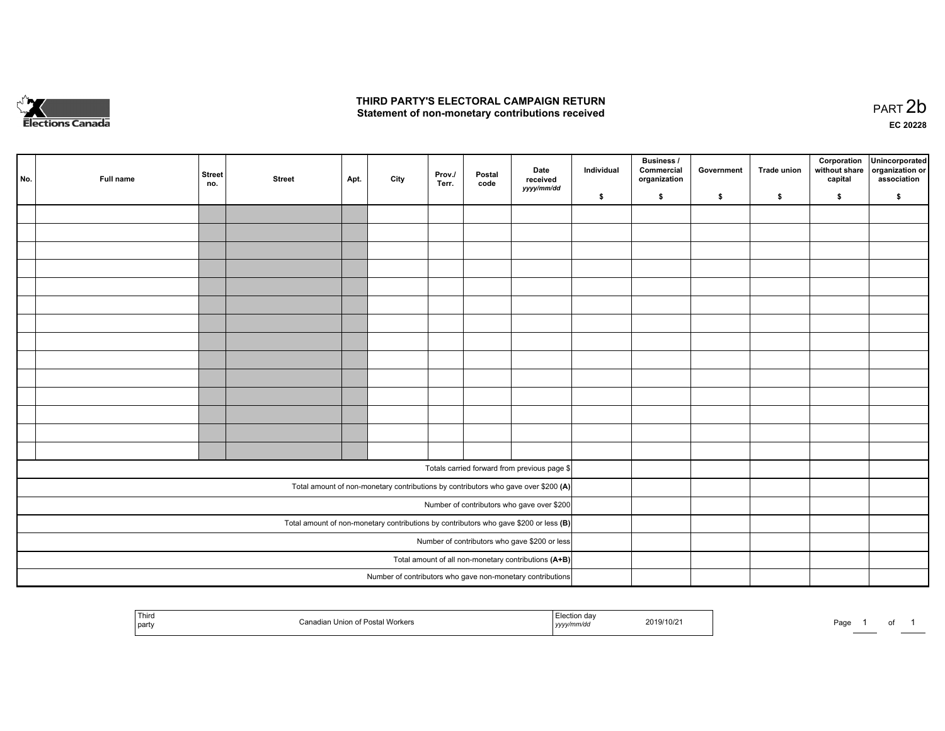

#### **THIRD PARTY'S ELECTORAL CAMPAIGN RETURN**  THIRD PARTY'S ELECTORAL CAMPAIGN RETURN<br>Statement of non-monetary contributions received

of 1

| No. | Full name                                     | <b>Street</b><br>no. | <b>Street</b> | Apt. | City | Prov./<br>Terr. | Postal<br>code | Date<br>received<br>yyyy/mm/dd                                                          | Individual | <b>Business /</b><br>Commercial<br>organization | Government | Trade union | Corporation<br>without share<br>capital | Unincorporated<br>organization or<br>association |
|-----|-----------------------------------------------|----------------------|---------------|------|------|-----------------|----------------|-----------------------------------------------------------------------------------------|------------|-------------------------------------------------|------------|-------------|-----------------------------------------|--------------------------------------------------|
|     |                                               |                      |               |      |      |                 |                |                                                                                         | \$         | \$                                              | \$         | s.          | \$                                      | \$                                               |
|     |                                               |                      |               |      |      |                 |                |                                                                                         |            |                                                 |            |             |                                         |                                                  |
|     |                                               |                      |               |      |      |                 |                |                                                                                         |            |                                                 |            |             |                                         |                                                  |
|     |                                               |                      |               |      |      |                 |                |                                                                                         |            |                                                 |            |             |                                         |                                                  |
|     |                                               |                      |               |      |      |                 |                |                                                                                         |            |                                                 |            |             |                                         |                                                  |
|     |                                               |                      |               |      |      |                 |                |                                                                                         |            |                                                 |            |             |                                         |                                                  |
|     |                                               |                      |               |      |      |                 |                |                                                                                         |            |                                                 |            |             |                                         |                                                  |
|     |                                               |                      |               |      |      |                 |                |                                                                                         |            |                                                 |            |             |                                         |                                                  |
|     |                                               |                      |               |      |      |                 |                |                                                                                         |            |                                                 |            |             |                                         |                                                  |
|     |                                               |                      |               |      |      |                 |                |                                                                                         |            |                                                 |            |             |                                         |                                                  |
|     |                                               |                      |               |      |      |                 |                |                                                                                         |            |                                                 |            |             |                                         |                                                  |
|     |                                               |                      |               |      |      |                 |                |                                                                                         |            |                                                 |            |             |                                         |                                                  |
|     |                                               |                      |               |      |      |                 |                |                                                                                         |            |                                                 |            |             |                                         |                                                  |
|     |                                               |                      |               |      |      |                 |                |                                                                                         |            |                                                 |            |             |                                         |                                                  |
|     |                                               |                      |               |      |      |                 |                |                                                                                         |            |                                                 |            |             |                                         |                                                  |
|     |                                               |                      |               |      |      |                 |                |                                                                                         |            |                                                 |            |             |                                         |                                                  |
|     |                                               |                      |               |      |      |                 |                | Totals carried forward from previous page \$                                            |            |                                                 |            |             |                                         |                                                  |
|     |                                               |                      |               |      |      |                 |                | Total amount of non-monetary contributions by contributors who gave over \$200 (A)      |            |                                                 |            |             |                                         |                                                  |
|     |                                               |                      |               |      |      |                 |                | Number of contributors who gave over \$200                                              |            |                                                 |            |             |                                         |                                                  |
|     |                                               |                      |               |      |      |                 |                | Total amount of non-monetary contributions by contributors who gave \$200 or less $(B)$ |            |                                                 |            |             |                                         |                                                  |
|     | Number of contributors who gave \$200 or less |                      |               |      |      |                 |                |                                                                                         |            |                                                 |            |             |                                         |                                                  |
|     |                                               |                      |               |      |      |                 |                | Total amount of all non-monetary contributions (A+B)                                    |            |                                                 |            |             |                                         |                                                  |
|     |                                               |                      |               |      |      |                 |                | Number of contributors who gave non-monetary contributions                              |            |                                                 |            |             |                                         |                                                  |
|     |                                               |                      |               |      |      |                 |                |                                                                                         |            |                                                 |            |             |                                         |                                                  |

| Third<br>part | of Postal Workers | aa<br>nmrac<br>  <i>yyy</i> | 2019/10/2 | Page |  |
|---------------|-------------------|-----------------------------|-----------|------|--|
|---------------|-------------------|-----------------------------|-----------|------|--|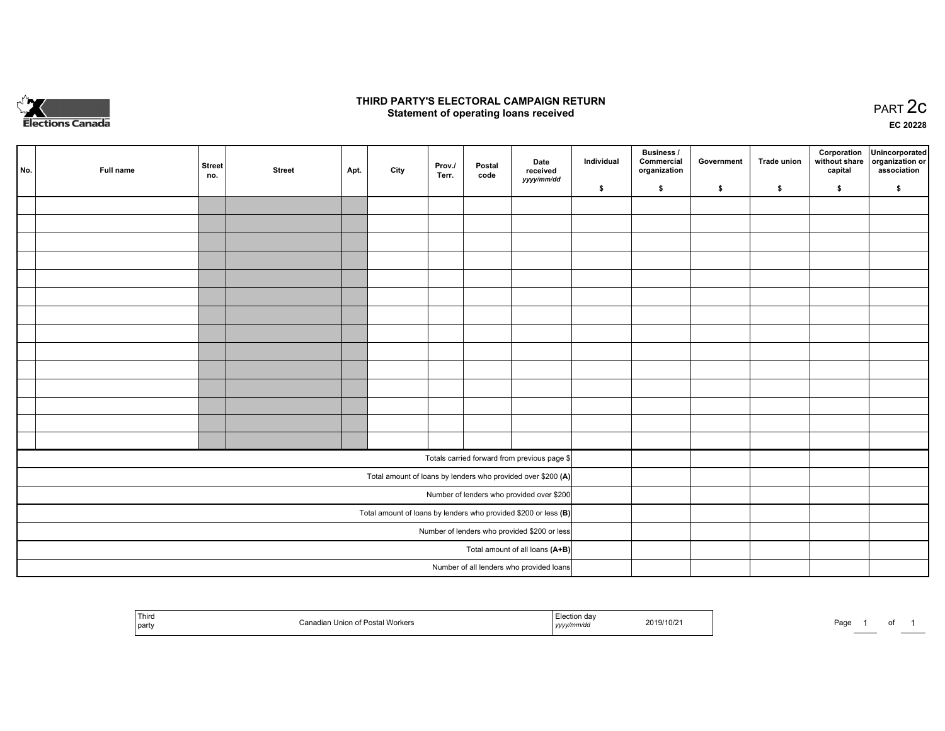

### **THIRD PARTY'S ELECTORAL CAMPAIGN RETURN STATE:** PRACT OF OPPRESS TO PART 2C STATE STATE STATE STATE STATE STATE STATE STATE STATE STATE STATE STATE STA<br>PART 2C Statement of operating loans received

**EC 20228**

| No.                                          | Full name | <b>Street</b><br>no. | <b>Street</b> | Apt. | City | Prov./<br>Terr. | Postal<br>code | Date<br>received                                                | Individual | <b>Business /</b><br>Commercial<br>organization | Government | <b>Trade union</b> | Corporation<br>capital | Unincorporated<br>without share   organization or<br>association |
|----------------------------------------------|-----------|----------------------|---------------|------|------|-----------------|----------------|-----------------------------------------------------------------|------------|-------------------------------------------------|------------|--------------------|------------------------|------------------------------------------------------------------|
|                                              |           |                      |               |      |      |                 |                | yyyy/mm/dd                                                      | \$         | \$                                              | \$         | \$                 | \$                     | \$                                                               |
|                                              |           |                      |               |      |      |                 |                |                                                                 |            |                                                 |            |                    |                        |                                                                  |
|                                              |           |                      |               |      |      |                 |                |                                                                 |            |                                                 |            |                    |                        |                                                                  |
|                                              |           |                      |               |      |      |                 |                |                                                                 |            |                                                 |            |                    |                        |                                                                  |
|                                              |           |                      |               |      |      |                 |                |                                                                 |            |                                                 |            |                    |                        |                                                                  |
|                                              |           |                      |               |      |      |                 |                |                                                                 |            |                                                 |            |                    |                        |                                                                  |
|                                              |           |                      |               |      |      |                 |                |                                                                 |            |                                                 |            |                    |                        |                                                                  |
|                                              |           |                      |               |      |      |                 |                |                                                                 |            |                                                 |            |                    |                        |                                                                  |
|                                              |           |                      |               |      |      |                 |                |                                                                 |            |                                                 |            |                    |                        |                                                                  |
|                                              |           |                      |               |      |      |                 |                |                                                                 |            |                                                 |            |                    |                        |                                                                  |
|                                              |           |                      |               |      |      |                 |                |                                                                 |            |                                                 |            |                    |                        |                                                                  |
|                                              |           |                      |               |      |      |                 |                |                                                                 |            |                                                 |            |                    |                        |                                                                  |
|                                              |           |                      |               |      |      |                 |                |                                                                 |            |                                                 |            |                    |                        |                                                                  |
|                                              |           |                      |               |      |      |                 |                |                                                                 |            |                                                 |            |                    |                        |                                                                  |
|                                              |           |                      |               |      |      |                 |                |                                                                 |            |                                                 |            |                    |                        |                                                                  |
|                                              |           |                      |               |      |      |                 |                | Totals carried forward from previous page \$                    |            |                                                 |            |                    |                        |                                                                  |
|                                              |           |                      |               |      |      |                 |                | Total amount of loans by lenders who provided over \$200 (A)    |            |                                                 |            |                    |                        |                                                                  |
|                                              |           |                      |               |      |      |                 |                | Number of lenders who provided over \$200                       |            |                                                 |            |                    |                        |                                                                  |
|                                              |           |                      |               |      |      |                 |                | Total amount of loans by lenders who provided \$200 or less (B) |            |                                                 |            |                    |                        |                                                                  |
| Number of lenders who provided \$200 or less |           |                      |               |      |      |                 |                |                                                                 |            |                                                 |            |                    |                        |                                                                  |
|                                              |           |                      |               |      |      |                 |                | Total amount of all loans (A+B)                                 |            |                                                 |            |                    |                        |                                                                  |
|                                              |           |                      |               |      |      |                 |                | Number of all lenders who provided loans                        |            |                                                 |            |                    |                        |                                                                  |

| Third<br>dian Union of Postal Workers<br>`party | Election dav<br>2019/10/21<br>yyyy/mm/dd | Page<br>. . |
|-------------------------------------------------|------------------------------------------|-------------|
|-------------------------------------------------|------------------------------------------|-------------|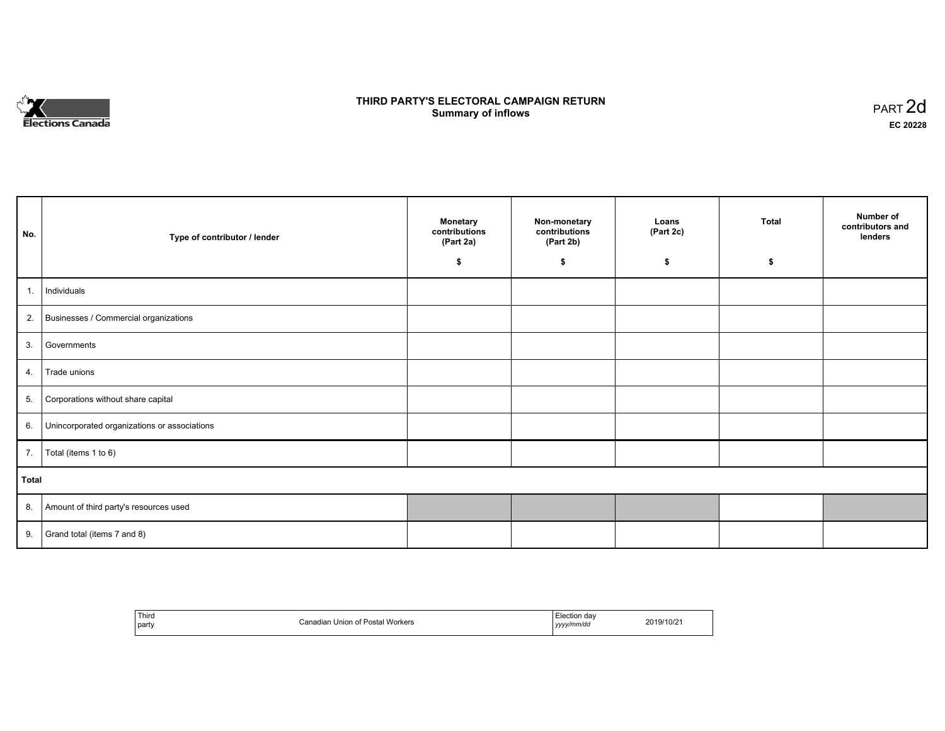

## **THIRD PARTY'S ELECTORAL CAMPAIGN RETURN S** ELECTORAL CAMPAIGN RETURN<br>Summary of inflows PART 2d

٦

| No.   | Type of contributor / lender                    | <b>Monetary</b><br>contributions<br>(Part 2a)<br>\$ | Non-monetary<br>contributions<br>(Part 2b)<br>\$ | Loans<br>(Part 2c)<br>\$ | <b>Total</b><br>\$ | Number of<br>contributors and<br>lenders |
|-------|-------------------------------------------------|-----------------------------------------------------|--------------------------------------------------|--------------------------|--------------------|------------------------------------------|
|       |                                                 |                                                     |                                                  |                          |                    |                                          |
| 1.    | Individuals                                     |                                                     |                                                  |                          |                    |                                          |
|       | 2. Businesses / Commercial organizations        |                                                     |                                                  |                          |                    |                                          |
|       | 3. Governments                                  |                                                     |                                                  |                          |                    |                                          |
| 4.    | Trade unions                                    |                                                     |                                                  |                          |                    |                                          |
| 5.    | Corporations without share capital              |                                                     |                                                  |                          |                    |                                          |
|       | 6. Unincorporated organizations or associations |                                                     |                                                  |                          |                    |                                          |
| 7.    | Total (items 1 to 6)                            |                                                     |                                                  |                          |                    |                                          |
| Total |                                                 |                                                     |                                                  |                          |                    |                                          |
|       | 8. Amount of third party's resources used       |                                                     |                                                  |                          |                    |                                          |
|       | 9. Grand total (items $7$ and $8$ )             |                                                     |                                                  |                          |                    |                                          |

| Third<br>  party | Canadian Union of Postal Workers | Election dav<br>yyyy/mm/dd | 2019/10/21 |
|------------------|----------------------------------|----------------------------|------------|
|------------------|----------------------------------|----------------------------|------------|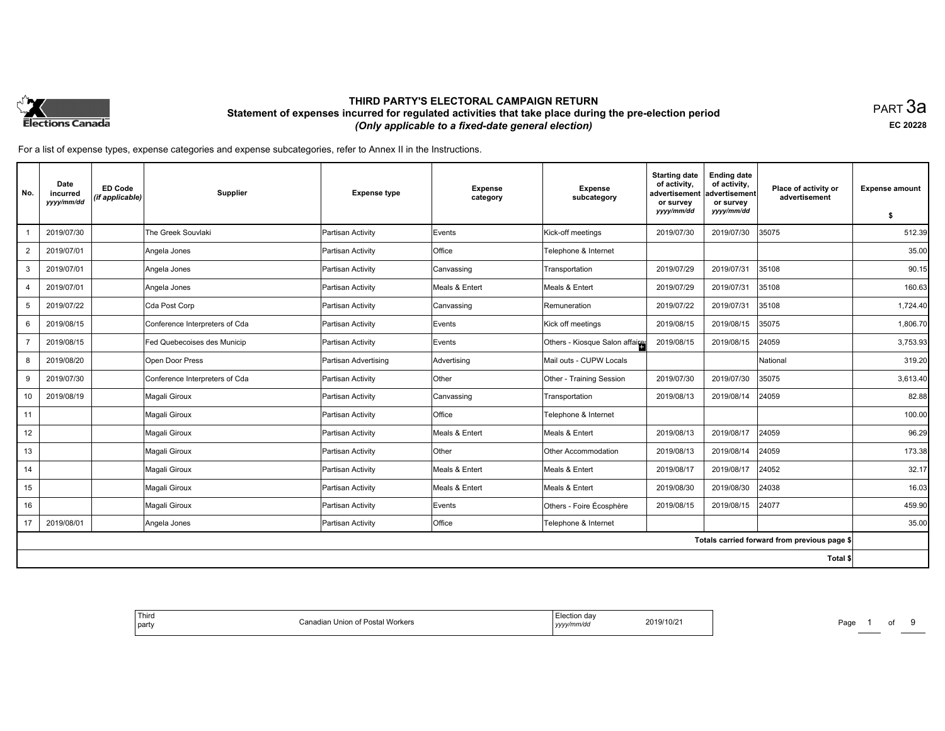

PART 3a **EC 20228**

| No.            | Date<br>incurred<br>yyyy/mm/dd | <b>ED Code</b><br>(if applicable) | <b>Supplier</b>                | <b>Expense type</b>  | <b>Expense</b><br>category | <b>Expense</b><br>subcategory   | <b>Starting date</b><br>of activity.<br>advertisement<br>or survey<br>yyyy/mm/dd | <b>Ending date</b><br>of activity,<br>advertisement<br>or survey<br>yyyy/mm/dd | Place of activity or<br>advertisement        | <b>Expense amount</b> |
|----------------|--------------------------------|-----------------------------------|--------------------------------|----------------------|----------------------------|---------------------------------|----------------------------------------------------------------------------------|--------------------------------------------------------------------------------|----------------------------------------------|-----------------------|
|                |                                |                                   |                                |                      |                            |                                 |                                                                                  |                                                                                |                                              | \$                    |
|                | 2019/07/30                     |                                   | The Greek Souvlaki             | Partisan Activity    | Events                     | Kick-off meetings               | 2019/07/30                                                                       | 2019/07/30                                                                     | 35075                                        | 512.39                |
| $\overline{2}$ | 2019/07/01                     |                                   | Angela Jones                   | Partisan Activity    | Office                     | Telephone & Internet            |                                                                                  |                                                                                |                                              | 35.00                 |
| 3              | 2019/07/01                     |                                   | Angela Jones                   | Partisan Activity    | Canvassing                 | Transportation                  | 2019/07/29                                                                       | 2019/07/31                                                                     | 35108                                        | 90.15                 |
| $\overline{4}$ | 2019/07/01                     |                                   | Angela Jones                   | Partisan Activity    | Meals & Entert             | Meals & Entert                  | 2019/07/29                                                                       | 2019/07/31                                                                     | 35108                                        | 160.63                |
| 5              | 2019/07/22                     |                                   | Cda Post Corp                  | Partisan Activity    | Canvassing                 | Remuneration                    | 2019/07/22                                                                       | 2019/07/31                                                                     | 35108                                        | 1,724.40              |
| 6              | 2019/08/15                     |                                   | Conference Interpreters of Cda | Partisan Activity    | Events                     | Kick off meetings               | 2019/08/15                                                                       | 2019/08/15                                                                     | 35075                                        | 1,806.70              |
| $\overline{7}$ | 2019/08/15                     |                                   | Fed Quebecoises des Municip    | Partisan Activity    | Events                     | Others - Kiosque Salon affaires | 2019/08/15                                                                       | 2019/08/15                                                                     | 24059                                        | 3,753.93              |
| 8              | 2019/08/20                     |                                   | Open Door Press                | Partisan Advertising | Advertising                | Mail outs - CUPW Locals         |                                                                                  |                                                                                | National                                     | 319.20                |
| 9              | 2019/07/30                     |                                   | Conference Interpreters of Cda | Partisan Activity    | <b>Other</b>               | Other - Training Session        | 2019/07/30                                                                       | 2019/07/30                                                                     | 35075                                        | 3,613.40              |
| 10             | 2019/08/19                     |                                   | Magali Giroux                  | Partisan Activity    | Canvassing                 | Transportation                  | 2019/08/13                                                                       | 2019/08/14                                                                     | 24059                                        | 82.88                 |
| 11             |                                |                                   | Magali Giroux                  | Partisan Activity    | <b>Office</b>              | Telephone & Internet            |                                                                                  |                                                                                |                                              | 100.00                |
| 12             |                                |                                   | Magali Giroux                  | Partisan Activity    | Meals & Entert             | Meals & Entert                  | 2019/08/13                                                                       | 2019/08/17                                                                     | 24059                                        | 96.29                 |
| 13             |                                |                                   | Magali Giroux                  | Partisan Activity    | Other                      | Other Accommodation             | 2019/08/13                                                                       | 2019/08/14                                                                     | 24059                                        | 173.38                |
| 14             |                                |                                   | Magali Giroux                  | Partisan Activity    | Meals & Entert             | Meals & Entert                  | 2019/08/17                                                                       | 2019/08/17                                                                     | 24052                                        | 32.17                 |
| 15             |                                |                                   | Magali Giroux                  | Partisan Activity    | Meals & Entert             | Meals & Entert                  | 2019/08/30                                                                       | 2019/08/30                                                                     | 24038                                        | 16.03                 |
| 16             |                                |                                   | Magali Giroux                  | Partisan Activity    | Events                     | Others - Foire Écosphère        | 2019/08/15                                                                       | 2019/08/15                                                                     | 24077                                        | 459.90                |
| 17             | 2019/08/01                     |                                   | Angela Jones                   | Partisan Activity    | Office                     | Telephone & Internet            |                                                                                  |                                                                                |                                              | 35.00                 |
|                |                                |                                   |                                |                      |                            |                                 |                                                                                  |                                                                                | Totals carried forward from previous page \$ |                       |
|                |                                |                                   |                                |                      |                            |                                 |                                                                                  |                                                                                | Total \$                                     |                       |

| Third<br>$\mathbf{a}$<br>part<br>uan | Union of Postal Workers<br> | ,,,,, | 10/2 | Page |  |  |  |
|--------------------------------------|-----------------------------|-------|------|------|--|--|--|
|--------------------------------------|-----------------------------|-------|------|------|--|--|--|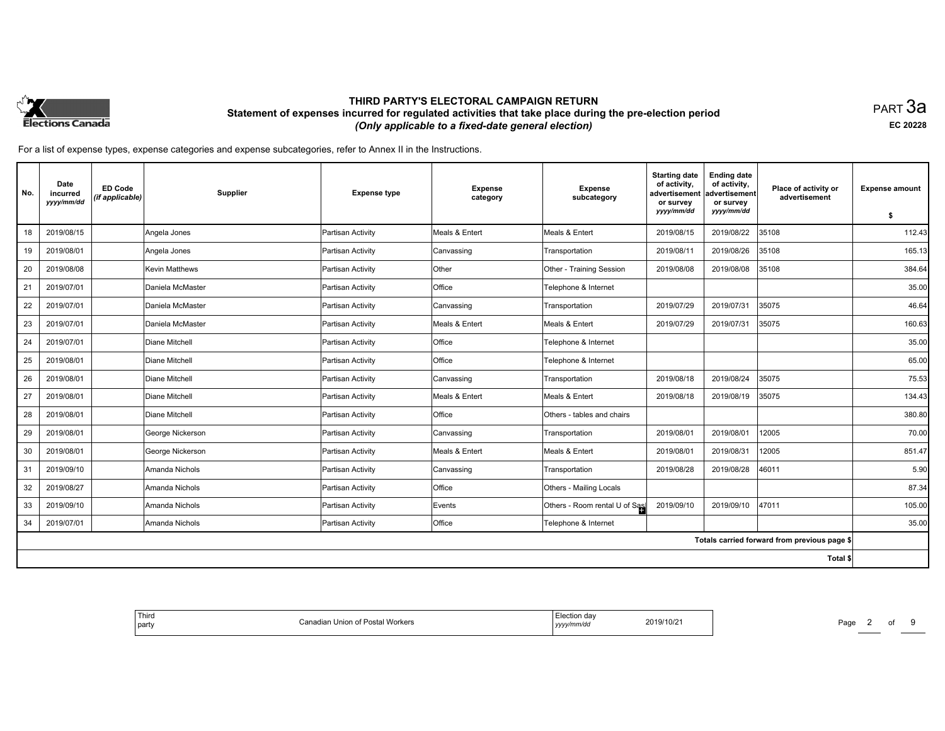

PART 3a **EC 20228**

| No. | Date<br>incurred<br>yyyy/mm/dd | <b>ED Code</b><br>(if applicable) | <b>Supplier</b>  | <b>Expense type</b> | <b>Expense</b><br>category | <b>Expense</b><br>subcategory | <b>Starting date</b><br>of activity,<br>advertisement<br>or survey<br>yyyy/mm/dd | <b>Ending date</b><br>of activity,<br>advertisement<br>or survey<br>yyyy/mm/dd | Place of activity or<br>advertisement        | <b>Expense amount</b> |
|-----|--------------------------------|-----------------------------------|------------------|---------------------|----------------------------|-------------------------------|----------------------------------------------------------------------------------|--------------------------------------------------------------------------------|----------------------------------------------|-----------------------|
|     |                                |                                   |                  |                     |                            |                               |                                                                                  |                                                                                |                                              | \$                    |
| 18  | 2019/08/15                     |                                   | Angela Jones     | Partisan Activity   | Meals & Entert             | Meals & Entert                | 2019/08/15                                                                       | 2019/08/22                                                                     | 35108                                        | 112.43                |
| 19  | 2019/08/01                     |                                   | Angela Jones     | Partisan Activity   | Canvassing                 | Transportation                | 2019/08/11                                                                       | 2019/08/26                                                                     | 35108                                        | 165.13                |
| 20  | 2019/08/08                     |                                   | Kevin Matthews   | Partisan Activity   | Other                      | Other - Training Session      | 2019/08/08                                                                       | 2019/08/08                                                                     | 35108                                        | 384.64                |
| 21  | 2019/07/01                     |                                   | Daniela McMaster | Partisan Activity   | Office                     | Telephone & Internet          |                                                                                  |                                                                                |                                              | 35.00                 |
| 22  | 2019/07/01                     |                                   | Daniela McMaster | Partisan Activity   | Canvassing                 | Transportation                | 2019/07/29                                                                       | 2019/07/31                                                                     | 35075                                        | 46.64                 |
| 23  | 2019/07/01                     |                                   | Daniela McMaster | Partisan Activity   | Meals & Entert             | Meals & Entert                | 2019/07/29                                                                       | 2019/07/31                                                                     | 35075                                        | 160.63                |
| 24  | 2019/07/01                     |                                   | Diane Mitchell   | Partisan Activity   | Office                     | Telephone & Internet          |                                                                                  |                                                                                |                                              | 35.00                 |
| 25  | 2019/08/01                     |                                   | Diane Mitchell   | Partisan Activity   | Office                     | Telephone & Internet          |                                                                                  |                                                                                |                                              | 65.00                 |
| 26  | 2019/08/01                     |                                   | Diane Mitchell   | Partisan Activity   | Canvassing                 | Transportation                | 2019/08/18                                                                       | 2019/08/24                                                                     | 35075                                        | 75.53                 |
| 27  | 2019/08/01                     |                                   | Diane Mitchell   | Partisan Activity   | Meals & Entert             | Meals & Entert                | 2019/08/18                                                                       | 2019/08/19                                                                     | 35075                                        | 134.43                |
| 28  | 2019/08/01                     |                                   | Diane Mitchell   | Partisan Activity   | Office                     | Others - tables and chairs    |                                                                                  |                                                                                |                                              | 380.80                |
| 29  | 2019/08/01                     |                                   | George Nickerson | Partisan Activity   | Canvassing                 | Transportation                | 2019/08/01                                                                       | 2019/08/01                                                                     | 12005                                        | 70.00                 |
| 30  | 2019/08/01                     |                                   | George Nickerson | Partisan Activity   | Meals & Entert             | Meals & Entert                | 2019/08/01                                                                       | 2019/08/31                                                                     | 12005                                        | 851.47                |
| 31  | 2019/09/10                     |                                   | Amanda Nichols   | Partisan Activity   | Canvassing                 | Transportation                | 2019/08/28                                                                       | 2019/08/28                                                                     | 46011                                        | 5.90                  |
| 32  | 2019/08/27                     |                                   | Amanda Nichols   | Partisan Activity   | Office                     | Others - Mailing Locals       |                                                                                  |                                                                                |                                              | 87.34                 |
| 33  | 2019/09/10                     |                                   | Amanda Nichols   | Partisan Activity   | Events                     | Others - Room rental U of Sas | 2019/09/10                                                                       | 2019/09/10                                                                     | 47011                                        | 105.00                |
| 34  | 2019/07/01                     |                                   | Amanda Nichols   | Partisan Activity   | Office                     | Telephone & Internet          |                                                                                  |                                                                                |                                              | 35.00                 |
|     |                                |                                   |                  |                     |                            |                               |                                                                                  |                                                                                | Totals carried forward from previous page \$ |                       |
|     |                                |                                   |                  |                     |                            |                               |                                                                                  |                                                                                | Total \$                                     |                       |

| <sup>l</sup> Third<br>party | <b>। Workers</b><br>usiai | ำๆ dav<br>2019/10/2<br>yyyy | Paqe |
|-----------------------------|---------------------------|-----------------------------|------|
|-----------------------------|---------------------------|-----------------------------|------|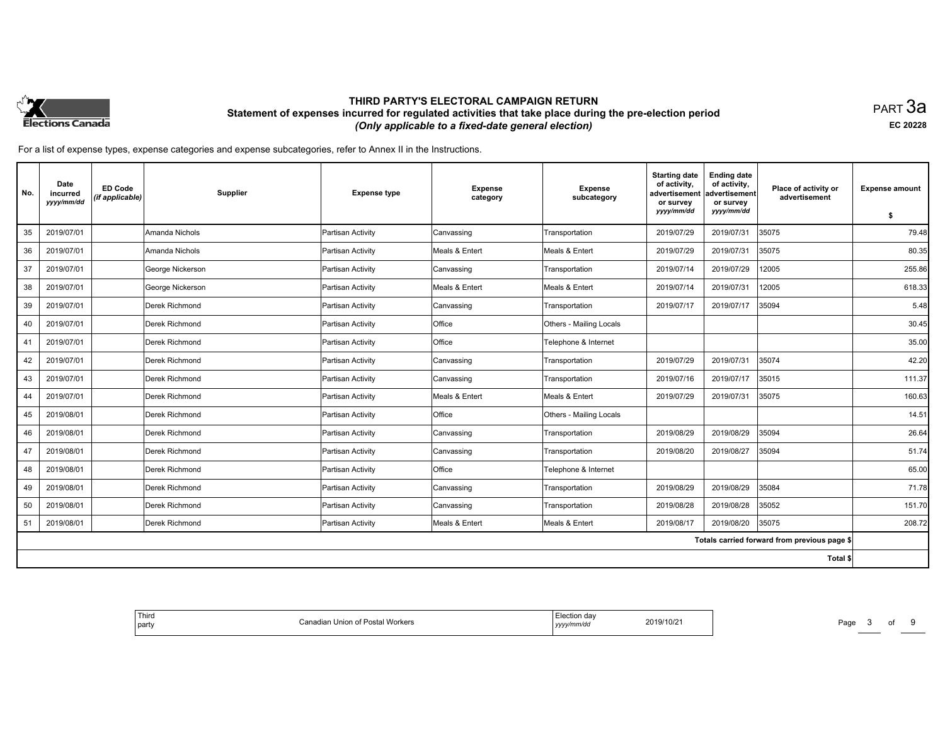

PART 3a **EC 20228**

| No.      | Date<br>incurred<br>yyyy/mm/dd | <b>ED Code</b><br>(if applicable) | Supplier         | <b>Expense type</b> | <b>Expense</b><br>category | <b>Expense</b><br>subcategory | <b>Starting date</b><br>of activity,<br>advertisement<br>or survey<br>yyyy/mm/dd | <b>Ending date</b><br>of activity,<br>ladvertisement<br>or survey<br>yyyy/mm/dd | Place of activity or<br>advertisement        | <b>Expense amount</b> |
|----------|--------------------------------|-----------------------------------|------------------|---------------------|----------------------------|-------------------------------|----------------------------------------------------------------------------------|---------------------------------------------------------------------------------|----------------------------------------------|-----------------------|
|          |                                |                                   |                  |                     |                            |                               |                                                                                  |                                                                                 |                                              | \$                    |
| 35       | 2019/07/01                     |                                   | Amanda Nichols   | Partisan Activity   | Canvassing                 | Transportation                | 2019/07/29                                                                       | 2019/07/31                                                                      | 35075                                        | 79.48                 |
| 36       | 2019/07/01                     |                                   | Amanda Nichols   | Partisan Activity   | Meals & Entert             | Meals & Entert                | 2019/07/29                                                                       | 2019/07/31                                                                      | 35075                                        | 80.35                 |
| 37       | 2019/07/01                     |                                   | George Nickerson | Partisan Activity   | Canvassing                 | Transportation                | 2019/07/14                                                                       | 2019/07/29                                                                      | 12005                                        | 255.86                |
| 38       | 2019/07/01                     |                                   | George Nickerson | Partisan Activity   | Meals & Entert             | Meals & Entert                | 2019/07/14                                                                       | 2019/07/31                                                                      | 12005                                        | 618.33                |
| 39       | 2019/07/01                     |                                   | Derek Richmond   | Partisan Activity   | Canvassing                 | Transportation                | 2019/07/17                                                                       | 2019/07/17                                                                      | 35094                                        | 5.48                  |
| 40       | 2019/07/01                     |                                   | Derek Richmond   | Partisan Activity   | Office                     | Others - Mailing Locals       |                                                                                  |                                                                                 |                                              | 30.45                 |
| 41       | 2019/07/01                     |                                   | Derek Richmond   | Partisan Activity   | Office                     | Telephone & Internet          |                                                                                  |                                                                                 |                                              | 35.00                 |
| 42       | 2019/07/01                     |                                   | Derek Richmond   | Partisan Activity   | Canvassing                 | Transportation                | 2019/07/29                                                                       | 2019/07/31                                                                      | 35074                                        | 42.20                 |
| 43       | 2019/07/01                     |                                   | Derek Richmond   | Partisan Activity   | Canvassing                 | Transportation                | 2019/07/16                                                                       | 2019/07/17                                                                      | 35015                                        | 111.37                |
| 44       | 2019/07/01                     |                                   | Derek Richmond   | Partisan Activity   | Meals & Entert             | Meals & Entert                | 2019/07/29                                                                       | 2019/07/31                                                                      | 35075                                        | 160.63                |
| 45       | 2019/08/01                     |                                   | Derek Richmond   | Partisan Activity   | Office                     | Others - Mailing Locals       |                                                                                  |                                                                                 |                                              | 14.51                 |
| 46       | 2019/08/01                     |                                   | Derek Richmond   | Partisan Activity   | Canvassing                 | Transportation                | 2019/08/29                                                                       | 2019/08/29                                                                      | 35094                                        | 26.64                 |
| 47       | 2019/08/01                     |                                   | Derek Richmond   | Partisan Activity   | Canvassing                 | Transportation                | 2019/08/20                                                                       | 2019/08/27                                                                      | 35094                                        | 51.74                 |
| 48       | 2019/08/01                     |                                   | Derek Richmond   | Partisan Activity   | Office                     | Telephone & Internet          |                                                                                  |                                                                                 |                                              | 65.00                 |
| 49       | 2019/08/01                     |                                   | Derek Richmond   | Partisan Activity   | Canvassing                 | Transportation                | 2019/08/29                                                                       | 2019/08/29                                                                      | 35084                                        | 71.78                 |
| 50       | 2019/08/01                     |                                   | Derek Richmond   | Partisan Activity   | Canvassing                 | Transportation                | 2019/08/28                                                                       | 2019/08/28                                                                      | 35052                                        | 151.70                |
| 51       | 2019/08/01                     |                                   | Derek Richmond   | Partisan Activity   | Meals & Entert             | Meals & Entert                | 2019/08/17                                                                       | 2019/08/20                                                                      | 35075                                        | 208.72                |
|          |                                |                                   |                  |                     |                            |                               |                                                                                  |                                                                                 | Totals carried forward from previous page \$ |                       |
| Total \$ |                                |                                   |                  |                     |                            |                               |                                                                                  |                                                                                 |                                              |                       |

| Third<br>of Postal Workers<br>. Union<br><b>STATISTICS</b><br>I part, | Election dav<br>2019/10/2<br>,,,,,,,,<br>,,,,,<br>$\sim$ $\sim$ | Page |
|-----------------------------------------------------------------------|-----------------------------------------------------------------|------|
|-----------------------------------------------------------------------|-----------------------------------------------------------------|------|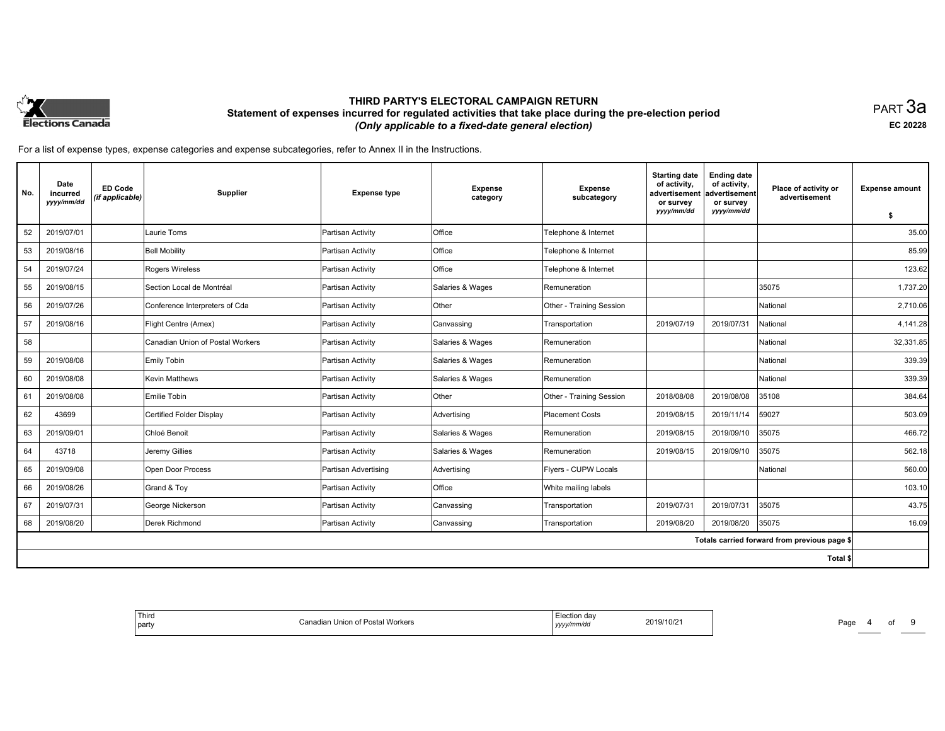

PART 3a **EC 20228**

| No. | Date<br>incurred<br>yyyy/mm/dd | <b>ED Code</b><br>(if applicable) | <b>Supplier</b>                  | <b>Expense type</b>  | <b>Expense</b><br>category | Expense<br>subcategory   | <b>Starting date</b><br>of activity,<br>advertisement<br>or survey | <b>Ending date</b><br>of activity,<br>advertisement<br>or survey | Place of activity or<br>advertisement        | <b>Expense amount</b> |
|-----|--------------------------------|-----------------------------------|----------------------------------|----------------------|----------------------------|--------------------------|--------------------------------------------------------------------|------------------------------------------------------------------|----------------------------------------------|-----------------------|
|     |                                |                                   |                                  |                      |                            |                          | yyyy/mm/dd                                                         | yyyy/mm/dd                                                       |                                              | -\$                   |
| 52  | 2019/07/01                     |                                   | Laurie Toms                      | Partisan Activity    | Office                     | Telephone & Internet     |                                                                    |                                                                  |                                              | 35.00                 |
| 53  | 2019/08/16                     |                                   | <b>Bell Mobility</b>             | Partisan Activity    | Office                     | Telephone & Internet     |                                                                    |                                                                  |                                              | 85.99                 |
| 54  | 2019/07/24                     |                                   | Rogers Wireless                  | Partisan Activity    | Office                     | Telephone & Internet     |                                                                    |                                                                  |                                              | 123.62                |
| 55  | 2019/08/15                     |                                   | Section Local de Montréal        | Partisan Activity    | Salaries & Wages           | Remuneration             |                                                                    |                                                                  | 35075                                        | 1,737.20              |
| 56  | 2019/07/26                     |                                   | Conference Interpreters of Cda   | Partisan Activity    | Other                      | Other - Training Session |                                                                    |                                                                  | National                                     | 2,710.06              |
| 57  | 2019/08/16                     |                                   | Flight Centre (Amex)             | Partisan Activity    | Canvassing                 | Transportation           | 2019/07/19                                                         | 2019/07/31                                                       | National                                     | 4,141.28              |
| 58  |                                |                                   | Canadian Union of Postal Workers | Partisan Activity    | Salaries & Wages           | Remuneration             |                                                                    |                                                                  | National                                     | 32,331.85             |
| 59  | 2019/08/08                     |                                   | Emily Tobin                      | Partisan Activity    | Salaries & Wages           | Remuneration             |                                                                    |                                                                  | National                                     | 339.39                |
| 60  | 2019/08/08                     |                                   | <b>Kevin Matthews</b>            | Partisan Activity    | Salaries & Wages           | Remuneration             |                                                                    |                                                                  | National                                     | 339.39                |
| 61  | 2019/08/08                     |                                   | Emilie Tobin                     | Partisan Activity    | Other                      | Other - Training Session | 2018/08/08                                                         | 2019/08/08                                                       | 35108                                        | 384.64                |
| 62  | 43699                          |                                   | Certified Folder Display         | Partisan Activity    | Advertising                | <b>Placement Costs</b>   | 2019/08/15                                                         | 2019/11/14                                                       | 59027                                        | 503.09                |
| 63  | 2019/09/01                     |                                   | Chloé Benoit                     | Partisan Activity    | Salaries & Wages           | Remuneration             | 2019/08/15                                                         | 2019/09/10                                                       | 35075                                        | 466.72                |
| 64  | 43718                          |                                   | Jeremy Gillies                   | Partisan Activity    | Salaries & Wages           | Remuneration             | 2019/08/15                                                         | 2019/09/10                                                       | 35075                                        | 562.18                |
| 65  | 2019/09/08                     |                                   | Open Door Process                | Partisan Advertising | Advertising                | Flyers - CUPW Locals     |                                                                    |                                                                  | National                                     | 560.00                |
| 66  | 2019/08/26                     |                                   | Grand & Toy                      | Partisan Activity    | Office                     | White mailing labels     |                                                                    |                                                                  |                                              | 103.10                |
| 67  | 2019/07/31                     |                                   | George Nickerson                 | Partisan Activity    | Canvassing                 | Transportation           | 2019/07/31                                                         | 2019/07/31                                                       | 35075                                        | 43.75                 |
| 68  | 2019/08/20                     |                                   | Derek Richmond                   | Partisan Activity    | Canvassing                 | Transportation           | 2019/08/20                                                         | 2019/08/20                                                       | 35075                                        | 16.09                 |
|     |                                |                                   |                                  |                      |                            |                          |                                                                    |                                                                  | Totals carried forward from previous page \$ |                       |
|     |                                |                                   |                                  |                      |                            |                          |                                                                    |                                                                  | Total \$                                     |                       |

| ' Third<br>  party | Workers<br>∵ ini∩n i …<br>. האש | .n der<br>2019/10/2<br>yyyymmaa | Page |
|--------------------|---------------------------------|---------------------------------|------|
|--------------------|---------------------------------|---------------------------------|------|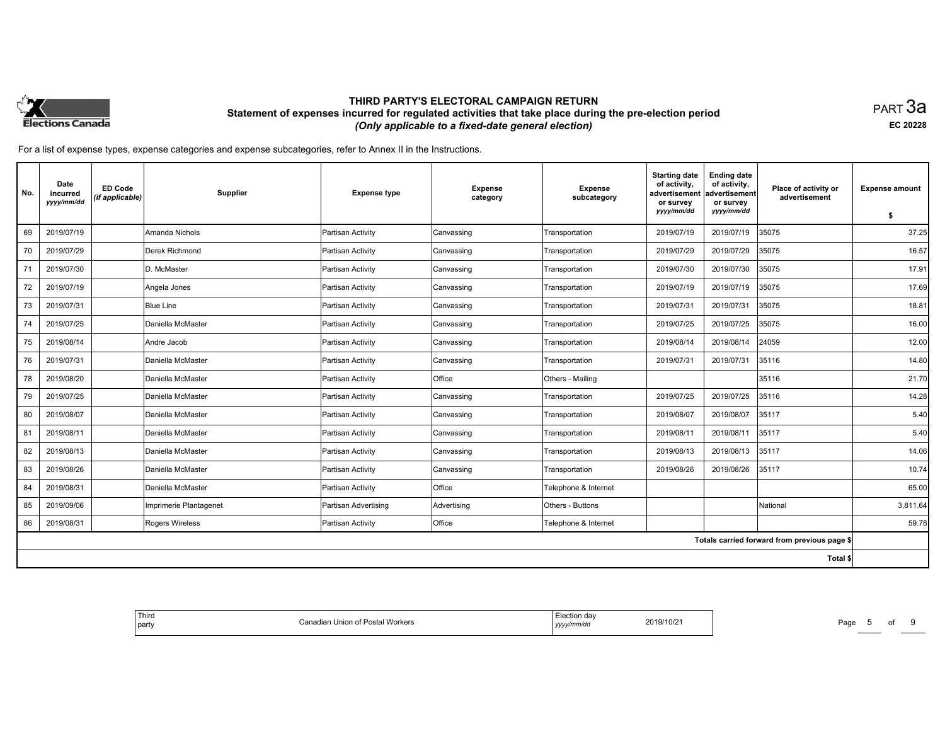

PART 3a **EC 20228**

| No. | Date<br>incurred<br>yyyy/mm/dd | <b>ED Code</b><br>(if applicable) | Supplier               | <b>Expense type</b>  | <b>Expense</b><br>category | <b>Expense</b><br>subcategory | <b>Starting date</b><br>of activity,<br>advertisement<br>or survey | <b>Ending date</b><br>of activity,<br>advertisement<br>or survey | Place of activity or<br>advertisement        | <b>Expense amount</b> |
|-----|--------------------------------|-----------------------------------|------------------------|----------------------|----------------------------|-------------------------------|--------------------------------------------------------------------|------------------------------------------------------------------|----------------------------------------------|-----------------------|
|     |                                |                                   |                        |                      |                            |                               | yyyy/mm/dd                                                         | yyyy/mm/dd                                                       |                                              | \$                    |
| 69  | 2019/07/19                     |                                   | Amanda Nichols         | Partisan Activity    | Canvassing                 | Transportation                | 2019/07/19                                                         | 2019/07/19                                                       | 35075                                        | 37.25                 |
| 70  | 2019/07/29                     |                                   | Derek Richmond         | Partisan Activity    | Canvassing                 | Transportation                | 2019/07/29                                                         | 2019/07/29                                                       | 35075                                        | 16.57                 |
| 71  | 2019/07/30                     |                                   | D. McMaster            | Partisan Activity    | Canvassing                 | Transportation                | 2019/07/30                                                         | 2019/07/30                                                       | 35075                                        | 17.91                 |
| 72  | 2019/07/19                     |                                   | Angela Jones           | Partisan Activity    | Canvassing                 | Transportation                | 2019/07/19                                                         | 2019/07/19                                                       | 35075                                        | 17.69                 |
| 73  | 2019/07/31                     |                                   | <b>Blue Line</b>       | Partisan Activity    | Canvassing                 | Transportation                | 2019/07/31                                                         | 2019/07/31                                                       | 35075                                        | 18.81                 |
| 74  | 2019/07/25                     |                                   | Daniella McMaster      | Partisan Activity    | Canvassing                 | Transportation                | 2019/07/25                                                         | 2019/07/25                                                       | 35075                                        | 16.00                 |
| 75  | 2019/08/14                     |                                   | Andre Jacob            | Partisan Activity    | Canvassing                 | Transportation                | 2019/08/14                                                         | 2019/08/14                                                       | 24059                                        | 12.00                 |
| 76  | 2019/07/31                     |                                   | Daniella McMaster      | Partisan Activity    | Canvassing                 | Transportation                | 2019/07/31                                                         | 2019/07/31                                                       | 35116                                        | 14.80                 |
| 78  | 2019/08/20                     |                                   | Daniella McMaster      | Partisan Activity    | Office                     | Others - Mailing              |                                                                    |                                                                  | 35116                                        | 21.70                 |
| 79  | 2019/07/25                     |                                   | Daniella McMaster      | Partisan Activity    | Canvassing                 | Transportation                | 2019/07/25                                                         | 2019/07/25                                                       | 35116                                        | 14.28                 |
| 80  | 2019/08/07                     |                                   | Daniella McMaster      | Partisan Activity    | Canvassing                 | Transportation                | 2019/08/07                                                         | 2019/08/07                                                       | 35117                                        | 5.40                  |
| 81  | 2019/08/11                     |                                   | Daniella McMaster      | Partisan Activity    | Canvassing                 | Transportation                | 2019/08/11                                                         | 2019/08/11                                                       | 35117                                        | 5.40                  |
| 82  | 2019/08/13                     |                                   | Daniella McMaster      | Partisan Activity    | Canvassing                 | Transportation                | 2019/08/13                                                         | 2019/08/13                                                       | 35117                                        | 14.06                 |
| 83  | 2019/08/26                     |                                   | Daniella McMaster      | Partisan Activity    | Canvassing                 | Transportation                | 2019/08/26                                                         | 2019/08/26                                                       | 35117                                        | 10.74                 |
| 84  | 2019/08/31                     |                                   | Daniella McMaster      | Partisan Activity    | Office                     | Telephone & Internet          |                                                                    |                                                                  |                                              | 65.00                 |
| 85  | 2019/09/06                     |                                   | Imprimerie Plantagenet | Partisan Advertising | Advertising                | Others - Buttons              |                                                                    |                                                                  | National                                     | 3,811.64              |
| 86  | 2019/08/31                     |                                   | <b>Rogers Wireless</b> | Partisan Activity    | Office                     | Telephone & Internet          |                                                                    |                                                                  |                                              | 59.78                 |
|     |                                |                                   |                        |                      |                            |                               |                                                                    |                                                                  | Totals carried forward from previous page \$ |                       |
|     |                                |                                   |                        |                      |                            |                               |                                                                    |                                                                  | Total \$                                     |                       |

| Third<br>  party | ,nior<br>i workers | ักn da∿<br>2019/10/2<br>, уууу | $P$ aqe |
|------------------|--------------------|--------------------------------|---------|
|------------------|--------------------|--------------------------------|---------|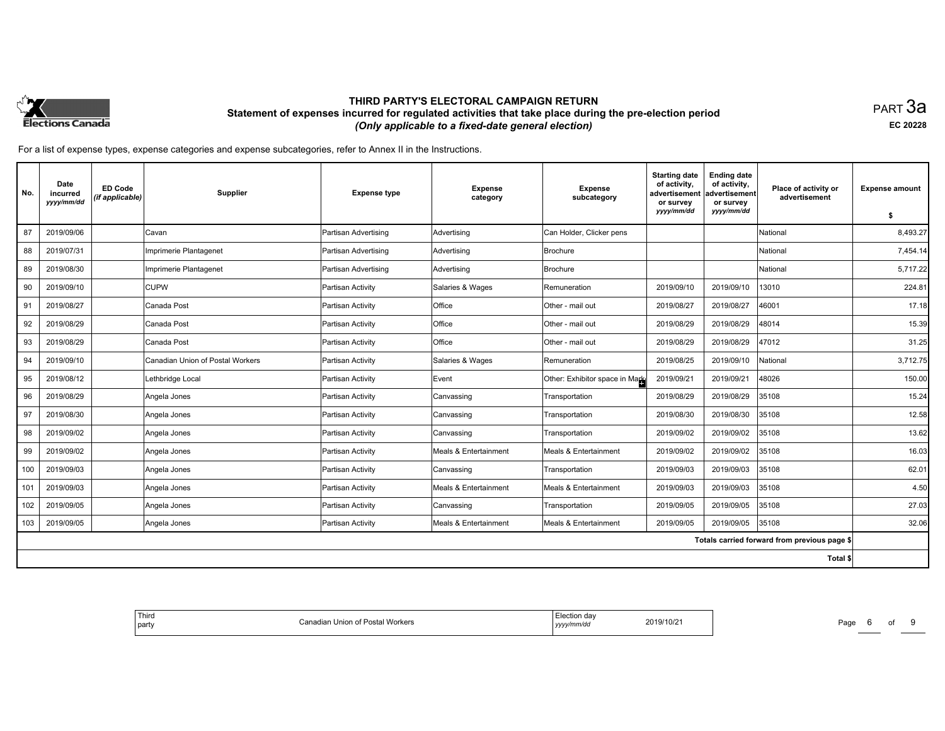

PART 3a **EC 20228**

| No. | Date<br>incurred<br>yyyy/mm/dd | <b>ED Code</b><br>(if applicable) | Supplier                         | <b>Expense type</b>  | <b>Expense</b><br>category | <b>Expense</b><br>subcategory  | <b>Starting date</b><br>of activity,<br>advertisement<br>or survey<br>yyyy/mm/dd | <b>Ending date</b><br>of activity,<br>advertisement<br>or survey<br>yyyy/mm/dd | Place of activity or<br>advertisement        | <b>Expense amount</b><br>\$ |
|-----|--------------------------------|-----------------------------------|----------------------------------|----------------------|----------------------------|--------------------------------|----------------------------------------------------------------------------------|--------------------------------------------------------------------------------|----------------------------------------------|-----------------------------|
| 87  | 2019/09/06                     |                                   | Cavan                            | Partisan Advertising | Advertising                | Can Holder, Clicker pens       |                                                                                  |                                                                                | National                                     | 8,493.27                    |
| 88  | 2019/07/31                     |                                   | Imprimerie Plantagenet           | Partisan Advertising | Advertising                | Brochure                       |                                                                                  |                                                                                | National                                     | 7,454.14                    |
| 89  | 2019/08/30                     |                                   | Imprimerie Plantagenet           | Partisan Advertising | Advertising                | Brochure                       |                                                                                  |                                                                                | National                                     | 5,717.22                    |
| 90  | 2019/09/10                     |                                   | <b>CUPW</b>                      | Partisan Activity    | Salaries & Wages           | Remuneration                   | 2019/09/10                                                                       | 2019/09/10                                                                     | 13010                                        | 224.81                      |
| 91  | 2019/08/27                     |                                   | Canada Post                      | Partisan Activity    | Office                     | Other - mail out               | 2019/08/27                                                                       | 2019/08/27                                                                     | 46001                                        | 17.18                       |
| 92  | 2019/08/29                     |                                   | Canada Post                      | Partisan Activity    | Office                     | Other - mail out               | 2019/08/29                                                                       | 2019/08/29                                                                     | 48014                                        | 15.39                       |
| 93  | 2019/08/29                     |                                   | Canada Post                      | Partisan Activity    | Office                     | Other - mail out               | 2019/08/29                                                                       | 2019/08/29                                                                     | 47012                                        | 31.25                       |
| 94  | 2019/09/10                     |                                   | Canadian Union of Postal Workers | Partisan Activity    | Salaries & Wages           | Remuneration                   | 2019/08/25                                                                       | 2019/09/10                                                                     | National                                     | 3,712.75                    |
| 95  | 2019/08/12                     |                                   | Lethbridge Local                 | Partisan Activity    | Event                      | Other: Exhibitor space in Mark | 2019/09/21                                                                       | 2019/09/21                                                                     | 48026                                        | 150.00                      |
| 96  | 2019/08/29                     |                                   | Angela Jones                     | Partisan Activity    | Canvassing                 | Transportation                 | 2019/08/29                                                                       | 2019/08/29                                                                     | 35108                                        | 15.24                       |
| 97  | 2019/08/30                     |                                   | Angela Jones                     | Partisan Activity    | Canvassing                 | Transportation                 | 2019/08/30                                                                       | 2019/08/30                                                                     | 35108                                        | 12.58                       |
| 98  | 2019/09/02                     |                                   | Angela Jones                     | Partisan Activity    | Canvassing                 | Transportation                 | 2019/09/02                                                                       | 2019/09/02                                                                     | 35108                                        | 13.62                       |
| 99  | 2019/09/02                     |                                   | Angela Jones                     | Partisan Activity    | Meals & Entertainment      | Meals & Entertainment          | 2019/09/02                                                                       | 2019/09/02                                                                     | 35108                                        | 16.03                       |
| 100 | 2019/09/03                     |                                   | Angela Jones                     | Partisan Activity    | Canvassing                 | Transportation                 | 2019/09/03                                                                       | 2019/09/03                                                                     | 35108                                        | 62.01                       |
| 101 | 2019/09/03                     |                                   | Angela Jones                     | Partisan Activity    | Meals & Entertainment      | Meals & Entertainment          | 2019/09/03                                                                       | 2019/09/03                                                                     | 35108                                        | 4.50                        |
| 102 | 2019/09/05                     |                                   | Angela Jones                     | Partisan Activity    | Canvassing                 | Transportation                 | 2019/09/05                                                                       | 2019/09/05                                                                     | 35108                                        | 27.03                       |
| 103 | 2019/09/05                     |                                   | Angela Jones                     | Partisan Activity    | Meals & Entertainment      | Meals & Entertainment          | 2019/09/05                                                                       | 2019/09/05                                                                     | 35108                                        | 32.06                       |
|     |                                |                                   |                                  |                      |                            |                                |                                                                                  |                                                                                | Totals carried forward from previous page \$ |                             |
|     |                                |                                   |                                  |                      |                            |                                |                                                                                  |                                                                                | Total \$                                     |                             |

| Third<br>idian Union of<br>  party | ਾਂ ੀ Postal Workers<br>mnvuc<br>נעצען |  | Page |  |  |  |
|------------------------------------|---------------------------------------|--|------|--|--|--|
|------------------------------------|---------------------------------------|--|------|--|--|--|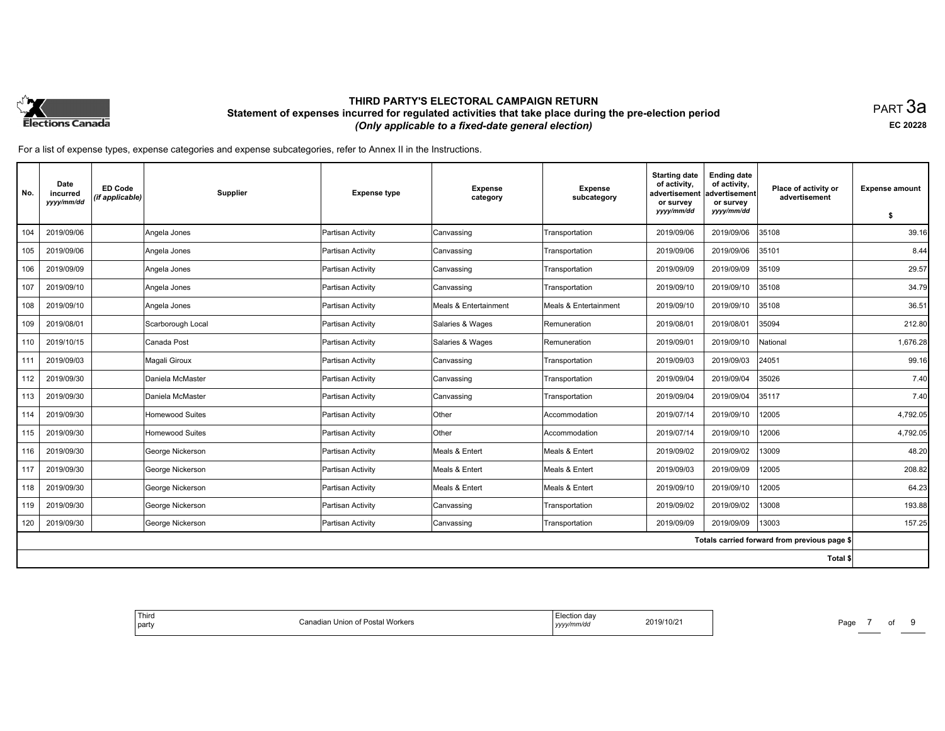

PART 3a **EC 20228**

| No. | Date<br>incurred<br>yyyy/mm/dd | <b>ED Code</b><br>(if applicable) | Supplier          | <b>Expense type</b> | <b>Expense</b><br>category | <b>Expense</b><br>subcategory | <b>Starting date</b><br>of activity,<br>advertisement<br>or survey | <b>Ending date</b><br>of activity,<br>advertisement<br>or survey | Place of activity or<br>advertisement        | <b>Expense amount</b> |
|-----|--------------------------------|-----------------------------------|-------------------|---------------------|----------------------------|-------------------------------|--------------------------------------------------------------------|------------------------------------------------------------------|----------------------------------------------|-----------------------|
|     |                                |                                   |                   |                     |                            |                               | yyyy/mm/dd                                                         | yyyy/mm/dd                                                       |                                              | \$                    |
| 104 | 2019/09/06                     |                                   | Angela Jones      | Partisan Activity   | Canvassing                 | Transportation                | 2019/09/06                                                         | 2019/09/06                                                       | 35108                                        | 39.16                 |
| 105 | 2019/09/06                     |                                   | Angela Jones      | Partisan Activity   | Canvassing                 | Transportation                | 2019/09/06                                                         | 2019/09/06                                                       | 35101                                        | 8.44                  |
| 106 | 2019/09/09                     |                                   | Angela Jones      | Partisan Activity   | Canvassing                 | Transportation                | 2019/09/09                                                         | 2019/09/09                                                       | 35109                                        | 29.57                 |
| 107 | 2019/09/10                     |                                   | Angela Jones      | Partisan Activity   | Canvassing                 | Transportation                | 2019/09/10                                                         | 2019/09/10                                                       | 35108                                        | 34.79                 |
| 108 | 2019/09/10                     |                                   | Angela Jones      | Partisan Activity   | Meals & Entertainment      | Meals & Entertainment         | 2019/09/10                                                         | 2019/09/10                                                       | 35108                                        | 36.51                 |
| 109 | 2019/08/01                     |                                   | Scarborough Local | Partisan Activity   | Salaries & Wages           | Remuneration                  | 2019/08/01                                                         | 2019/08/01                                                       | 35094                                        | 212.80                |
| 110 | 2019/10/15                     |                                   | Canada Post       | Partisan Activity   | Salaries & Wages           | Remuneration                  | 2019/09/01                                                         | 2019/09/10                                                       | National                                     | 1,676.28              |
| 111 | 2019/09/03                     |                                   | Magali Giroux     | Partisan Activity   | Canvassing                 | Transportation                | 2019/09/03                                                         | 2019/09/03                                                       | 24051                                        | 99.16                 |
| 112 | 2019/09/30                     |                                   | Daniela McMaster  | Partisan Activity   | Canvassing                 | Transportation                | 2019/09/04                                                         | 2019/09/04                                                       | 35026                                        | 7.40                  |
| 113 | 2019/09/30                     |                                   | Daniela McMaster  | Partisan Activity   | Canvassing                 | Transportation                | 2019/09/04                                                         | 2019/09/04                                                       | 35117                                        | 7.40                  |
| 114 | 2019/09/30                     |                                   | Homewood Suites   | Partisan Activity   | Other                      | Accommodation                 | 2019/07/14                                                         | 2019/09/10                                                       | 12005                                        | 4,792.05              |
| 115 | 2019/09/30                     |                                   | Homewood Suites   | Partisan Activity   | Other                      | Accommodation                 | 2019/07/14                                                         | 2019/09/10                                                       | 12006                                        | 4,792.05              |
| 116 | 2019/09/30                     |                                   | George Nickerson  | Partisan Activity   | Meals & Entert             | Meals & Entert                | 2019/09/02                                                         | 2019/09/02                                                       | 13009                                        | 48.20                 |
| 117 | 2019/09/30                     |                                   | George Nickerson  | Partisan Activity   | Meals & Entert             | Meals & Entert                | 2019/09/03                                                         | 2019/09/09                                                       | 12005                                        | 208.82                |
| 118 | 2019/09/30                     |                                   | George Nickerson  | Partisan Activity   | Meals & Entert             | Meals & Entert                | 2019/09/10                                                         | 2019/09/10                                                       | 12005                                        | 64.23                 |
| 119 | 2019/09/30                     |                                   | George Nickerson  | Partisan Activity   | Canvassing                 | Transportation                | 2019/09/02                                                         | 2019/09/02                                                       | 13008                                        | 193.88                |
| 120 | 2019/09/30                     |                                   | George Nickerson  | Partisan Activity   | Canvassing                 | Transportation                | 2019/09/09                                                         | 2019/09/09                                                       | 13003                                        | 157.25                |
|     |                                |                                   |                   |                     |                            |                               |                                                                    |                                                                  | Totals carried forward from previous page \$ |                       |
|     |                                |                                   |                   |                     |                            |                               |                                                                    |                                                                  | Total \$                                     |                       |

| <sup>1</sup> Third<br>  party | adian Union of Postal Workers | Election dav<br>2019/10/2<br>yyyymmvaa | Page |
|-------------------------------|-------------------------------|----------------------------------------|------|
|-------------------------------|-------------------------------|----------------------------------------|------|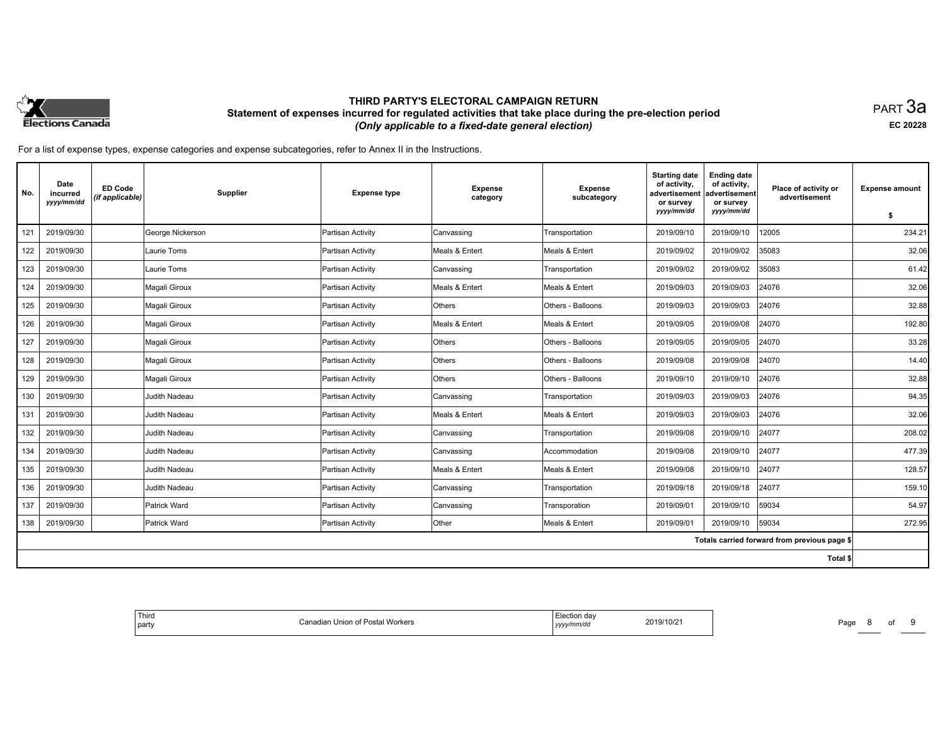

PART 3a **EC 20228**

| No. | Date<br>incurred<br>yyyy/mm/dd | <b>ED Code</b><br>(if applicable) | Supplier         | <b>Expense type</b> | <b>Expense</b><br>category | <b>Expense</b><br>subcategory | <b>Starting date</b><br>of activity,<br>advertisement<br>or survey | <b>Ending date</b><br>of activity,<br>advertisement<br>or survey | Place of activity or<br>advertisement        | <b>Expense amount</b> |
|-----|--------------------------------|-----------------------------------|------------------|---------------------|----------------------------|-------------------------------|--------------------------------------------------------------------|------------------------------------------------------------------|----------------------------------------------|-----------------------|
|     |                                |                                   |                  |                     |                            |                               | yyyy/mm/dd                                                         | yyyy/mm/dd                                                       |                                              | \$                    |
| 121 | 2019/09/30                     |                                   | George Nickerson | Partisan Activity   | Canvassing                 | Transportation                | 2019/09/10                                                         | 2019/09/10                                                       | 12005                                        | 234.21                |
| 122 | 2019/09/30                     |                                   | Laurie Toms      | Partisan Activity   | Meals & Entert             | Meals & Entert                | 2019/09/02                                                         | 2019/09/02                                                       | 35083                                        | 32.06                 |
| 123 | 2019/09/30                     |                                   | Laurie Toms      | Partisan Activity   | Canvassing                 | Transportation                | 2019/09/02                                                         | 2019/09/02                                                       | 35083                                        | 61.42                 |
| 124 | 2019/09/30                     |                                   | Magali Giroux    | Partisan Activity   | Meals & Entert             | Meals & Entert                | 2019/09/03                                                         | 2019/09/03                                                       | 24076                                        | 32.06                 |
| 125 | 2019/09/30                     |                                   | Magali Giroux    | Partisan Activity   | Others                     | Others - Balloons             | 2019/09/03                                                         | 2019/09/03                                                       | 24076                                        | 32.88                 |
| 126 | 2019/09/30                     |                                   | Magali Giroux    | Partisan Activity   | Meals & Entert             | Meals & Entert                | 2019/09/05                                                         | 2019/09/08                                                       | 24070                                        | 192.80                |
| 127 | 2019/09/30                     |                                   | Magali Giroux    | Partisan Activity   | Others                     | Others - Balloons             | 2019/09/05                                                         | 2019/09/05                                                       | 24070                                        | 33.28                 |
| 128 | 2019/09/30                     |                                   | Magali Giroux    | Partisan Activity   | Others                     | Others - Balloons             | 2019/09/08                                                         | 2019/09/08                                                       | 24070                                        | 14.40                 |
| 129 | 2019/09/30                     |                                   | Magali Giroux    | Partisan Activity   | Others                     | Others - Balloons             | 2019/09/10                                                         | 2019/09/10                                                       | 24076                                        | 32.88                 |
| 130 | 2019/09/30                     |                                   | Judith Nadeau    | Partisan Activity   | Canvassing                 | Transportation                | 2019/09/03                                                         | 2019/09/03                                                       | 24076                                        | 94.35                 |
| 131 | 2019/09/30                     |                                   | Judith Nadeau    | Partisan Activity   | Meals & Entert             | Meals & Entert                | 2019/09/03                                                         | 2019/09/03                                                       | 24076                                        | 32.06                 |
| 132 | 2019/09/30                     |                                   | Judith Nadeau    | Partisan Activity   | Canvassing                 | Transportation                | 2019/09/08                                                         | 2019/09/10                                                       | 24077                                        | 208.02                |
| 134 | 2019/09/30                     |                                   | Judith Nadeau    | Partisan Activity   | Canvassing                 | Accommodation                 | 2019/09/08                                                         | 2019/09/10                                                       | 24077                                        | 477.39                |
| 135 | 2019/09/30                     |                                   | Judith Nadeau    | Partisan Activity   | Meals & Entert             | Meals & Entert                | 2019/09/08                                                         | 2019/09/10                                                       | 24077                                        | 128.57                |
| 136 | 2019/09/30                     |                                   | Judith Nadeau    | Partisan Activity   | Canvassing                 | Transportation                | 2019/09/18                                                         | 2019/09/18                                                       | 24077                                        | 159.10                |
| 137 | 2019/09/30                     |                                   | Patrick Ward     | Partisan Activity   | Canvassing                 | Transporation                 | 2019/09/01                                                         | 2019/09/10                                                       | 59034                                        | 54.97                 |
| 138 | 2019/09/30                     |                                   | Patrick Ward     | Partisan Activity   | Other                      | Meals & Entert                | 2019/09/01                                                         | 2019/09/10                                                       | 59034                                        | 272.95                |
|     |                                |                                   |                  |                     |                            |                               |                                                                    |                                                                  | Totals carried forward from previous page \$ |                       |
|     |                                |                                   |                  |                     |                            |                               |                                                                    |                                                                  | Total \$                                     |                       |

| <sup>l</sup> Third<br>party | <sup>f</sup> Postal Workers | n dav<br>сесло<br>2019/10/2<br>, уууу/ | Page |
|-----------------------------|-----------------------------|----------------------------------------|------|
|-----------------------------|-----------------------------|----------------------------------------|------|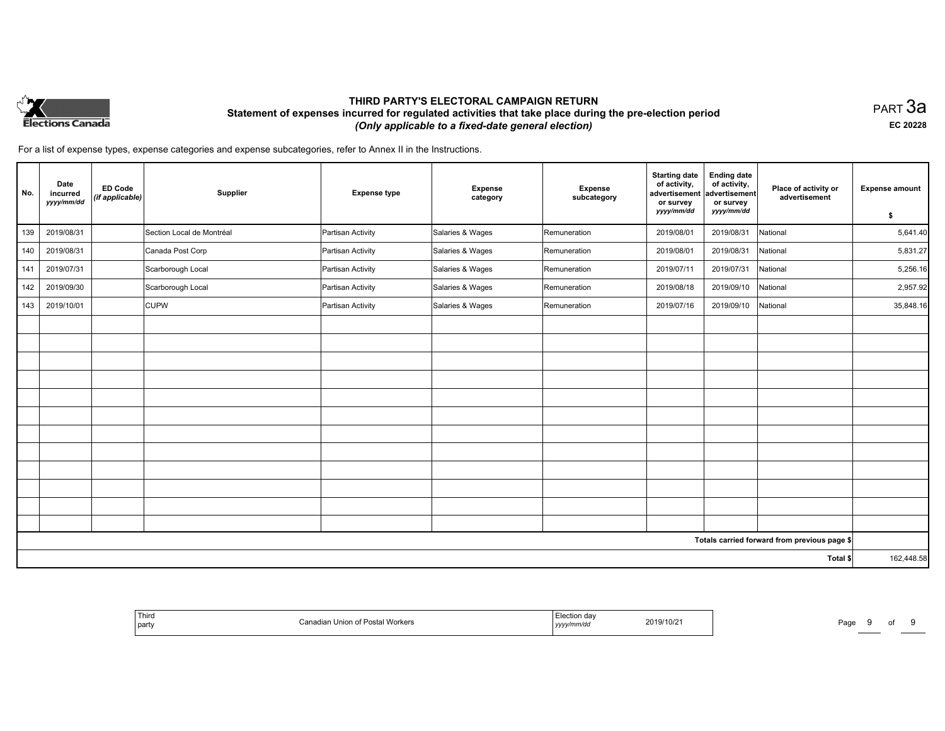

PART 3a **EC 20228**

| No. | Date<br>incurred<br>yyyy/mm/dd | <b>ED Code</b><br>(if applicable) | Supplier                  | <b>Expense type</b> | Expense<br>category | <b>Expense</b><br>subcategory | <b>Starting date</b><br>of activity,<br>advertisement<br>or survey<br>yyyy/mm/dd | <b>Ending date</b><br>of activity,<br>advertisement<br>or survey<br>yyyy/mm/dd | Place of activity or<br>advertisement        | <b>Expense amount</b><br>\$ |
|-----|--------------------------------|-----------------------------------|---------------------------|---------------------|---------------------|-------------------------------|----------------------------------------------------------------------------------|--------------------------------------------------------------------------------|----------------------------------------------|-----------------------------|
| 139 | 2019/08/31                     |                                   | Section Local de Montréal | Partisan Activity   | Salaries & Wages    | Remuneration                  | 2019/08/01                                                                       | 2019/08/31                                                                     | National                                     | 5,641.40                    |
| 140 | 2019/08/31                     |                                   | Canada Post Corp          | Partisan Activity   | Salaries & Wages    | Remuneration                  | 2019/08/01                                                                       | 2019/08/31                                                                     | National                                     | 5,831.27                    |
| 141 | 2019/07/31                     |                                   | Scarborough Local         | Partisan Activity   | Salaries & Wages    | Remuneration                  | 2019/07/11                                                                       | 2019/07/31                                                                     | National                                     | 5,256.16                    |
| 142 | 2019/09/30                     |                                   | Scarborough Local         | Partisan Activity   | Salaries & Wages    | Remuneration                  | 2019/08/18                                                                       | 2019/09/10                                                                     | National                                     | 2,957.92                    |
| 143 | 2019/10/01                     |                                   | <b>CUPW</b>               | Partisan Activity   | Salaries & Wages    | Remuneration                  | 2019/07/16                                                                       | 2019/09/10                                                                     | National                                     | 35,848.16                   |
|     |                                |                                   |                           |                     |                     |                               |                                                                                  |                                                                                |                                              |                             |
|     |                                |                                   |                           |                     |                     |                               |                                                                                  |                                                                                |                                              |                             |
|     |                                |                                   |                           |                     |                     |                               |                                                                                  |                                                                                |                                              |                             |
|     |                                |                                   |                           |                     |                     |                               |                                                                                  |                                                                                |                                              |                             |
|     |                                |                                   |                           |                     |                     |                               |                                                                                  |                                                                                |                                              |                             |
|     |                                |                                   |                           |                     |                     |                               |                                                                                  |                                                                                |                                              |                             |
|     |                                |                                   |                           |                     |                     |                               |                                                                                  |                                                                                |                                              |                             |
|     |                                |                                   |                           |                     |                     |                               |                                                                                  |                                                                                |                                              |                             |
|     |                                |                                   |                           |                     |                     |                               |                                                                                  |                                                                                |                                              |                             |
|     |                                |                                   |                           |                     |                     |                               |                                                                                  |                                                                                |                                              |                             |
|     |                                |                                   |                           |                     |                     |                               |                                                                                  |                                                                                |                                              |                             |
|     |                                |                                   |                           |                     |                     |                               |                                                                                  |                                                                                |                                              |                             |
|     |                                |                                   |                           |                     |                     |                               |                                                                                  |                                                                                | Totals carried forward from previous page \$ |                             |
|     |                                |                                   |                           |                     |                     |                               |                                                                                  |                                                                                | Total \$                                     | 162,448.58                  |

| Third<br>j party | Posta<br>Workers<br>. | 2019/10/2<br>,,,,,,,,,<br>, , , , , | Page<br> |
|------------------|-----------------------|-------------------------------------|----------|
|------------------|-----------------------|-------------------------------------|----------|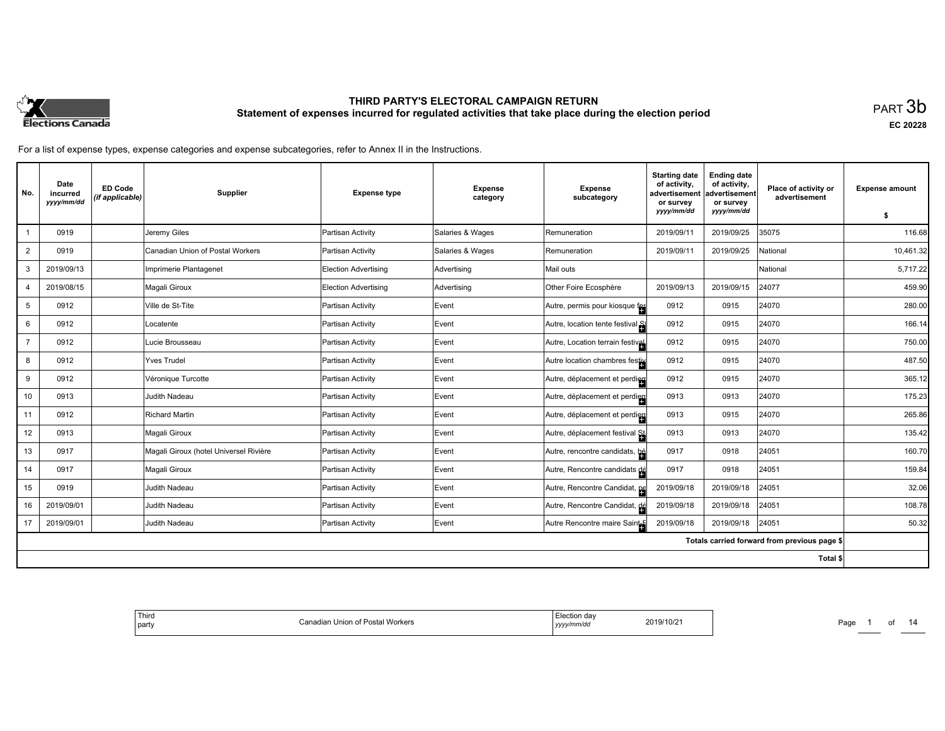

**EC 20228**

For a list of expense types, expense categories and expense subcategories, refer to Annex II in the Instructions.

| No.            | Date<br>incurred<br>yyyy/mm/dd | <b>ED Code</b><br>(if applicable) | Supplier                               | <b>Expense type</b>         | <b>Expense</b><br>category | <b>Expense</b><br>subcategory    | <b>Starting date</b><br>of activity,<br>advertisement<br>or survey | <b>Ending date</b><br>of activity,<br>advertisement<br>or survey | Place of activity or<br>advertisement        | <b>Expense amount</b> |
|----------------|--------------------------------|-----------------------------------|----------------------------------------|-----------------------------|----------------------------|----------------------------------|--------------------------------------------------------------------|------------------------------------------------------------------|----------------------------------------------|-----------------------|
|                |                                |                                   |                                        |                             |                            |                                  | yyyy/mm/dd                                                         | yyyy/mm/dd                                                       |                                              | \$                    |
|                | 0919                           |                                   | Jeremy Giles                           | Partisan Activity           | Salaries & Wages           | Remuneration                     | 2019/09/11                                                         | 2019/09/25                                                       | 35075                                        | 116.68                |
| $\overline{2}$ | 0919                           |                                   | Canadian Union of Postal Workers       | Partisan Activity           | Salaries & Wages           | Remuneration                     | 2019/09/11                                                         | 2019/09/25                                                       | National                                     | 10,461.32             |
| 3              | 2019/09/13                     |                                   | Imprimerie Plantagenet                 | Election Advertising        | Advertising                | Mail outs                        |                                                                    |                                                                  | National                                     | 5,717.22              |
| 4              | 2019/08/15                     |                                   | Magali Giroux                          | <b>Election Advertising</b> | Advertising                | Other Foire Ecosphère            | 2019/09/13                                                         | 2019/09/15                                                       | 24077                                        | 459.90                |
| 5              | 0912                           |                                   | Ville de St-Tite                       | Partisan Activity           | Event                      | Autre, permis pour kiosque fes   | 0912                                                               | 0915                                                             | 24070                                        | 280.00                |
| 6              | 0912                           |                                   | Locatente                              | Partisan Activity           | Event                      | Autre, location tente festival   | 0912                                                               | 0915                                                             | 24070                                        | 166.14                |
| $\overline{7}$ | 0912                           |                                   | Lucie Brousseau                        | Partisan Activity           | Event                      | Autre, Location terrain festival | 0912                                                               | 0915                                                             | 24070                                        | 750.00                |
| 8              | 0912                           |                                   | Yves Trudel                            | Partisan Activity           | Event                      | Autre location chambres festive  | 0912                                                               | 0915                                                             | 24070                                        | 487.50                |
| 9              | 0912                           |                                   | Véronique Turcotte                     | Partisan Activity           | Event                      | Autre, déplacement et perdien    | 0912                                                               | 0915                                                             | 24070                                        | 365.12                |
| 10             | 0913                           |                                   | Judith Nadeau                          | Partisan Activity           | Event                      | Autre, déplacement et perdieu    | 0913                                                               | 0913                                                             | 24070                                        | 175.23                |
| 11             | 0912                           |                                   | Richard Martin                         | Partisan Activity           | Event                      | Autre, déplacement et perdien    | 0913                                                               | 0915                                                             | 24070                                        | 265.86                |
| 12             | 0913                           |                                   | Magali Giroux                          | Partisan Activity           | Event                      | Autre, déplacement festival St.  | 0913                                                               | 0913                                                             | 24070                                        | 135.42                |
| 13             | 0917                           |                                   | Magali Giroux (hotel Universel Rivière | Partisan Activity           | Event                      | Autre, rencontre candidats, bé   | 0917                                                               | 0918                                                             | 24051                                        | 160.70                |
| 14             | 0917                           |                                   | Magali Giroux                          | Partisan Activity           | Event                      | Autre, Rencontre candidats de    | 0917                                                               | 0918                                                             | 24051                                        | 159.84                |
| 15             | 0919                           |                                   | Judith Nadeau                          | Partisan Activity           | Event                      | Autre, Rencontre Candidat, pe    | 2019/09/18                                                         | 2019/09/18                                                       | 24051                                        | 32.06                 |
| 16             | 2019/09/01                     |                                   | Judith Nadeau                          | Partisan Activity           | Event                      | Autre, Rencontre Candidat, dé    | 2019/09/18                                                         | 2019/09/18                                                       | 24051                                        | 108.78                |
| 17             | 2019/09/01                     |                                   | Judith Nadeau                          | Partisan Activity           | Event                      | Autre Rencontre maire Saint-E    | 2019/09/18                                                         | 2019/09/18                                                       | 24051                                        | 50.32                 |
|                |                                |                                   |                                        |                             |                            |                                  |                                                                    |                                                                  | Totals carried forward from previous page \$ |                       |
|                |                                |                                   |                                        |                             |                            |                                  |                                                                    |                                                                  | <b>Total \$</b>                              |                       |

| 2019/10/21<br>Postal Workers<br>`anadian<br>া Union of F.<br>  party<br>yyyy/mm/dd |
|------------------------------------------------------------------------------------|
|------------------------------------------------------------------------------------|

Page 1 of 14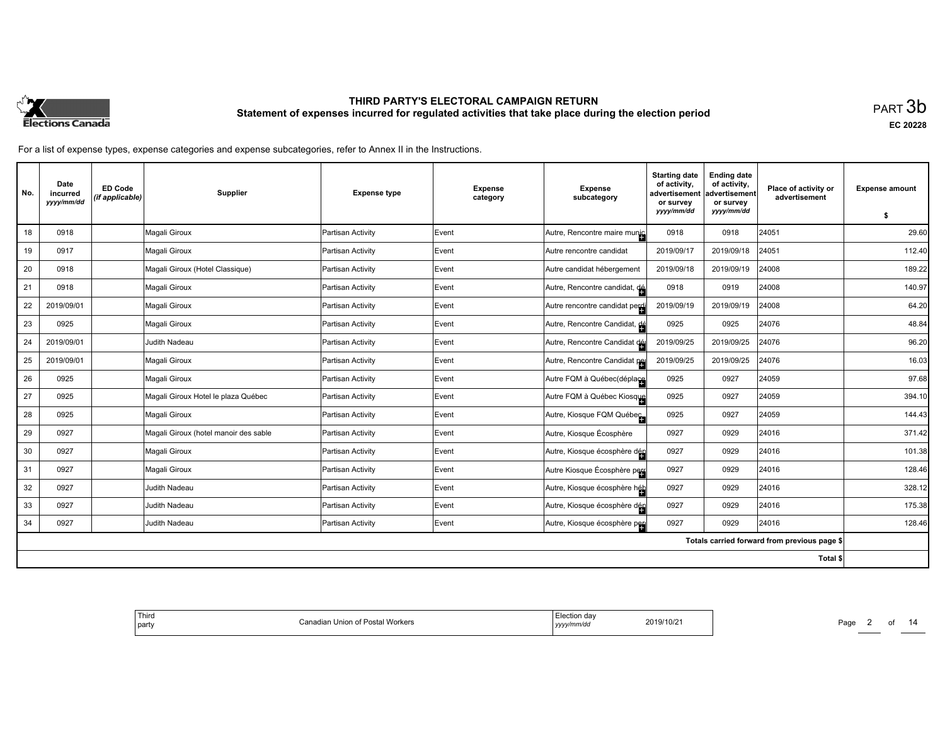

**EC 20228**

| No. | Date<br>incurred<br>yyyy/mm/dd | <b>ED Code</b><br>(if applicable) | Supplier                              | <b>Expense type</b> | <b>Expense</b><br>category | <b>Expense</b><br>subcategory  | <b>Starting date</b><br>of activity,<br>advertisement<br>or survey | <b>Ending date</b><br>of activity,<br>advertisement<br>or survey | Place of activity or<br>advertisement        | <b>Expense amount</b> |
|-----|--------------------------------|-----------------------------------|---------------------------------------|---------------------|----------------------------|--------------------------------|--------------------------------------------------------------------|------------------------------------------------------------------|----------------------------------------------|-----------------------|
|     |                                |                                   |                                       |                     |                            |                                | yyyy/mm/dd                                                         | yyyy/mm/dd                                                       |                                              | \$                    |
| 18  | 0918                           |                                   | Magali Giroux                         | Partisan Activity   | Event                      | Autre, Rencontre maire munic   | 0918                                                               | 0918                                                             | 24051                                        | 29.60                 |
| 19  | 0917                           |                                   | Magali Giroux                         | Partisan Activity   | Event                      | Autre rencontre candidat       | 2019/09/17                                                         | 2019/09/18                                                       | 24051                                        | 112.40                |
| 20  | 0918                           |                                   | Magali Giroux (Hotel Classique)       | Partisan Activity   | Event                      | Autre candidat hébergement     | 2019/09/18                                                         | 2019/09/19                                                       | 24008                                        | 189.22                |
| 21  | 0918                           |                                   | Magali Giroux                         | Partisan Activity   | Event                      | Autre, Rencontre candidat, de  | 0918                                                               | 0919                                                             | 24008                                        | 140.97                |
| 22  | 2019/09/01                     |                                   | Magali Giroux                         | Partisan Activity   | Event                      | Autre rencontre candidat perdi | 2019/09/19                                                         | 2019/09/19                                                       | 24008                                        | 64.20                 |
| 23  | 0925                           |                                   | Magali Giroux                         | Partisan Activity   | Event                      | Autre, Rencontre Candidat, dé  | 0925                                                               | 0925                                                             | 24076                                        | 48.84                 |
| 24  | 2019/09/01                     |                                   | <b>Judith Nadeau</b>                  | Partisan Activity   | Event                      | Autre, Rencontre Candidat dé   | 2019/09/25                                                         | 2019/09/25                                                       | 24076                                        | 96.20                 |
| 25  | 2019/09/01                     |                                   | Magali Giroux                         | Partisan Activity   | Event                      | Autre, Rencontre Candidat pe   | 2019/09/25                                                         | 2019/09/25                                                       | 24076                                        | 16.03                 |
| 26  | 0925                           |                                   | Magali Giroux                         | Partisan Activity   | Event                      | Autre FQM à Québec(déplace     | 0925                                                               | 0927                                                             | 24059                                        | 97.68                 |
| 27  | 0925                           |                                   | Magali Giroux Hotel le plaza Québec   | Partisan Activity   | Event                      | Autre FQM à Québec Kiosque     | 0925                                                               | 0927                                                             | 24059                                        | 394.10                |
| 28  | 0925                           |                                   | Magali Giroux                         | Partisan Activity   | Event                      | Autre, Kiosque FQM Québec      | 0925                                                               | 0927                                                             | 24059                                        | 144.43                |
| 29  | 0927                           |                                   | Magali Giroux (hotel manoir des sable | Partisan Activity   | Event                      | Autre, Kiosque Écosphère       | 0927                                                               | 0929                                                             | 24016                                        | 371.42                |
| 30  | 0927                           |                                   | Magali Giroux                         | Partisan Activity   | Event                      | Autre, Kiosque écosphère dén   | 0927                                                               | 0929                                                             | 24016                                        | 101.38                |
| 31  | 0927                           |                                   | Magali Giroux                         | Partisan Activity   | Event                      | Autre Kiosque Écosphère peu    | 0927                                                               | 0929                                                             | 24016                                        | 128.46                |
| 32  | 0927                           |                                   | Judith Nadeau                         | Partisan Activity   | Event                      | Autre, Kiosque écosphère héb   | 0927                                                               | 0929                                                             | 24016                                        | 328.12                |
| 33  | 0927                           |                                   | <b>Judith Nadeau</b>                  | Partisan Activity   | Event                      | Autre, Kiosque écosphère dég   | 0927                                                               | 0929                                                             | 24016                                        | 175.38                |
| 34  | 0927                           |                                   | Judith Nadeau                         | Partisan Activity   | Event                      | Autre, Kiosque écosphère peu   | 0927                                                               | 0929                                                             | 24016                                        | 128.46                |
|     |                                |                                   |                                       |                     |                            |                                |                                                                    |                                                                  | Totals carried forward from previous page \$ |                       |
|     |                                |                                   |                                       |                     |                            |                                |                                                                    |                                                                  | Total \$                                     |                       |

| ection day<br>2019/10/2<br>yy/mm/do | Workers<br>i Postal<br>. Union of "<br>danadian ' |
|-------------------------------------|---------------------------------------------------|
|-------------------------------------|---------------------------------------------------|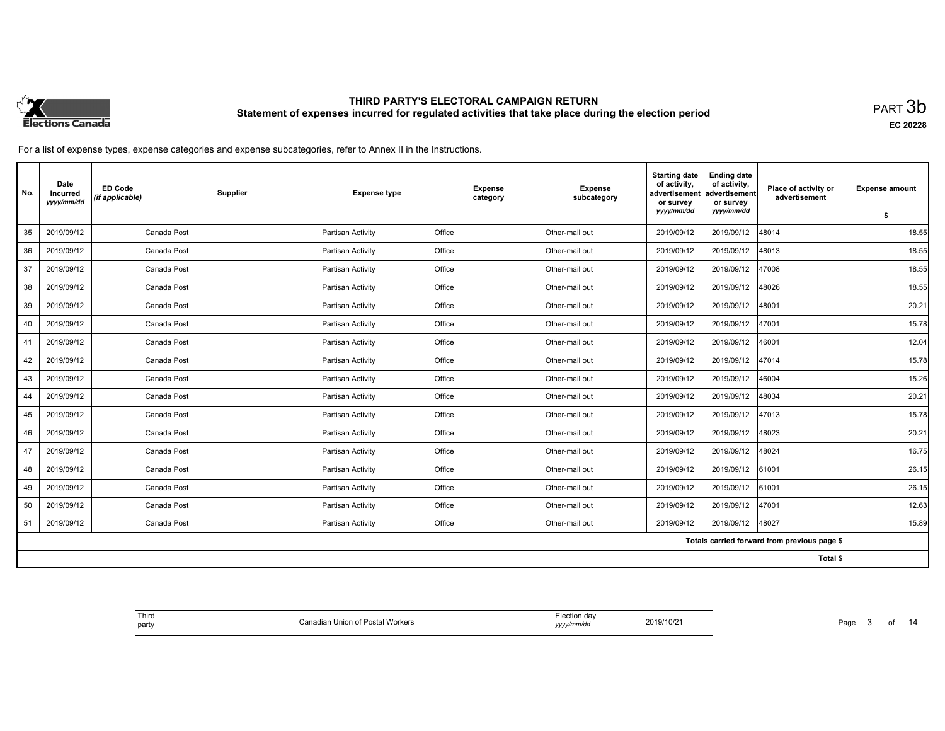

**EC 20228**

For a list of expense types, expense categories and expense subcategories, refer to Annex II in the Instructions.

| No. | Date<br>incurred<br>yyyy/mm/dd | <b>ED Code</b><br>(if applicable) | Supplier    | <b>Expense type</b> | <b>Expense</b><br>category | <b>Expense</b><br>subcategory | <b>Starting date</b><br>of activity.<br>advertisement<br>or survey | <b>Ending date</b><br>of activity,<br>advertisement<br>or survey | Place of activity or<br>advertisement        | <b>Expense amount</b> |
|-----|--------------------------------|-----------------------------------|-------------|---------------------|----------------------------|-------------------------------|--------------------------------------------------------------------|------------------------------------------------------------------|----------------------------------------------|-----------------------|
|     |                                |                                   |             |                     |                            |                               | yyyy/mm/dd                                                         | yyyy/mm/dd                                                       |                                              | \$                    |
| 35  | 2019/09/12                     |                                   | Canada Post | Partisan Activity   | Office                     | Other-mail out                | 2019/09/12                                                         | 2019/09/12                                                       | 48014                                        | 18.55                 |
| 36  | 2019/09/12                     |                                   | Canada Post | Partisan Activity   | Office                     | Other-mail out                | 2019/09/12                                                         | 2019/09/12                                                       | 48013                                        | 18.55                 |
| 37  | 2019/09/12                     |                                   | Canada Post | Partisan Activity   | Office                     | Other-mail out                | 2019/09/12                                                         | 2019/09/12                                                       | 47008                                        | 18.55                 |
| 38  | 2019/09/12                     |                                   | Canada Post | Partisan Activity   | Office                     | Other-mail out                | 2019/09/12                                                         | 2019/09/12                                                       | 48026                                        | 18.55                 |
| 39  | 2019/09/12                     |                                   | Canada Post | Partisan Activity   | <b>Office</b>              | Other-mail out                | 2019/09/12                                                         | 2019/09/12                                                       | 48001                                        | 20.21                 |
| 40  | 2019/09/12                     |                                   | Canada Post | Partisan Activity   | <b>Office</b>              | Other-mail out                | 2019/09/12                                                         | 2019/09/12                                                       | 47001                                        | 15.78                 |
| 41  | 2019/09/12                     |                                   | Canada Post | Partisan Activity   | Office                     | Other-mail out                | 2019/09/12                                                         | 2019/09/12                                                       | 46001                                        | 12.04                 |
| 42  | 2019/09/12                     |                                   | Canada Post | Partisan Activity   | Office                     | Other-mail out                | 2019/09/12                                                         | 2019/09/12                                                       | 47014                                        | 15.78                 |
| 43  | 2019/09/12                     |                                   | Canada Post | Partisan Activity   | Office                     | Other-mail out                | 2019/09/12                                                         | 2019/09/12                                                       | 46004                                        | 15.26                 |
| 44  | 2019/09/12                     |                                   | Canada Post | Partisan Activity   | Office                     | Other-mail out                | 2019/09/12                                                         | 2019/09/12                                                       | 48034                                        | 20.21                 |
| 45  | 2019/09/12                     |                                   | Canada Post | Partisan Activity   | <b>Office</b>              | Other-mail out                | 2019/09/12                                                         | 2019/09/12                                                       | 47013                                        | 15.78                 |
| 46  | 2019/09/12                     |                                   | Canada Post | Partisan Activity   | Office                     | Other-mail out                | 2019/09/12                                                         | 2019/09/12                                                       | 48023                                        | 20.21                 |
| 47  | 2019/09/12                     |                                   | Canada Post | Partisan Activity   | Office                     | Other-mail out                | 2019/09/12                                                         | 2019/09/12                                                       | 48024                                        | 16.75                 |
| 48  | 2019/09/12                     |                                   | Canada Post | Partisan Activity   | <b>Office</b>              | Other-mail out                | 2019/09/12                                                         | 2019/09/12                                                       | 61001                                        | 26.15                 |
| 49  | 2019/09/12                     |                                   | Canada Post | Partisan Activity   | Office                     | Other-mail out                | 2019/09/12                                                         | 2019/09/12                                                       | 61001                                        | 26.15                 |
| 50  | 2019/09/12                     |                                   | Canada Post | Partisan Activity   | Office                     | Other-mail out                | 2019/09/12                                                         | 2019/09/12                                                       | 47001                                        | 12.63                 |
| 51  | 2019/09/12                     |                                   | Canada Post | Partisan Activity   | <b>Office</b>              | Other-mail out                | 2019/09/12                                                         | 2019/09/12                                                       | 48027                                        | 15.89                 |
|     |                                |                                   |             |                     |                            |                               |                                                                    |                                                                  | Totals carried forward from previous page \$ |                       |
|     |                                |                                   |             |                     |                            |                               |                                                                    |                                                                  | Total \$                                     |                       |

| ,,,, |
|------|
|------|

Page 3 of 14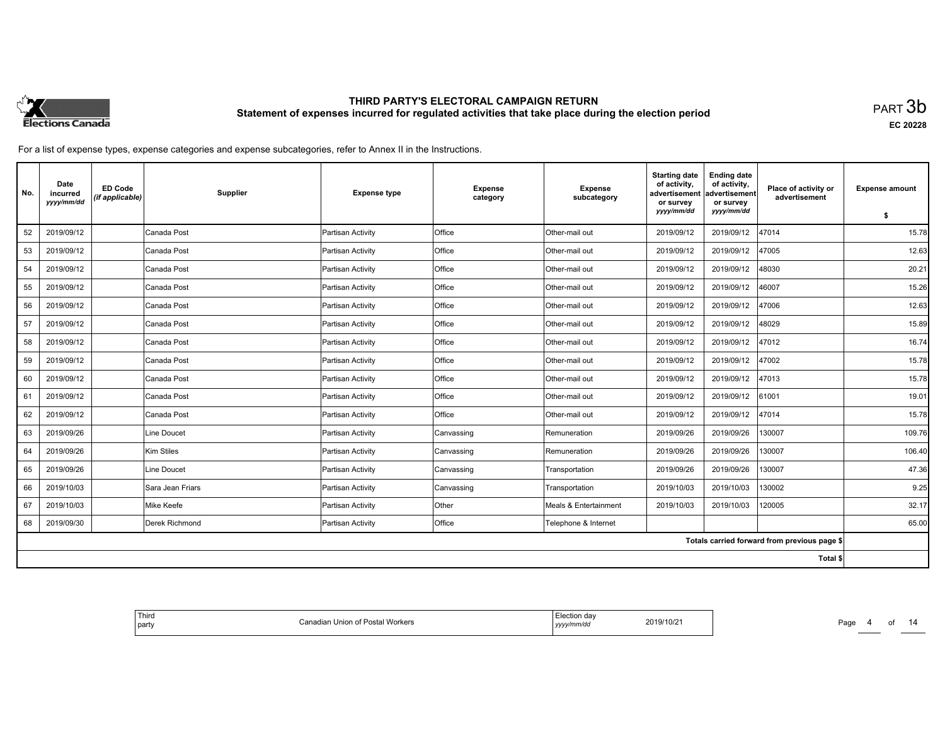

**EC 20228**

For a list of expense types, expense categories and expense subcategories, refer to Annex II in the Instructions.

| No. | Date<br>incurred<br>yyyy/mm/dd | <b>ED Code</b><br>(if applicable) | Supplier         | <b>Expense type</b> | <b>Expense</b><br>category | <b>Expense</b><br>subcategory | <b>Starting date</b><br>of activity.<br>advertisement<br>or survey<br>yyyy/mm/dd | <b>Ending date</b><br>of activity,<br>advertisement<br>or survey<br>yyyy/mm/dd | Place of activity or<br>advertisement        | <b>Expense amount</b> |
|-----|--------------------------------|-----------------------------------|------------------|---------------------|----------------------------|-------------------------------|----------------------------------------------------------------------------------|--------------------------------------------------------------------------------|----------------------------------------------|-----------------------|
|     |                                |                                   |                  |                     |                            |                               |                                                                                  |                                                                                |                                              | \$                    |
| 52  | 2019/09/12                     |                                   | Canada Post      | Partisan Activity   | Office                     | Other-mail out                | 2019/09/12                                                                       | 2019/09/12                                                                     | 47014                                        | 15.78                 |
| 53  | 2019/09/12                     |                                   | Canada Post      | Partisan Activity   | Office                     | Other-mail out                | 2019/09/12                                                                       | 2019/09/12                                                                     | 47005                                        | 12.63                 |
| 54  | 2019/09/12                     |                                   | Canada Post      | Partisan Activity   | Office                     | Other-mail out                | 2019/09/12                                                                       | 2019/09/12                                                                     | 48030                                        | 20.21                 |
| 55  | 2019/09/12                     |                                   | Canada Post      | Partisan Activity   | Office                     | Other-mail out                | 2019/09/12                                                                       | 2019/09/12                                                                     | 46007                                        | 15.26                 |
| 56  | 2019/09/12                     |                                   | Canada Post      | Partisan Activity   | Office                     | Other-mail out                | 2019/09/12                                                                       | 2019/09/12                                                                     | 47006                                        | 12.63                 |
| 57  | 2019/09/12                     |                                   | Canada Post      | Partisan Activity   | Office                     | Other-mail out                | 2019/09/12                                                                       | 2019/09/12                                                                     | 48029                                        | 15.89                 |
| 58  | 2019/09/12                     |                                   | Canada Post      | Partisan Activity   | Office                     | Other-mail out                | 2019/09/12                                                                       | 2019/09/12                                                                     | 47012                                        | 16.74                 |
| 59  | 2019/09/12                     |                                   | Canada Post      | Partisan Activity   | Office                     | Other-mail out                | 2019/09/12                                                                       | 2019/09/12                                                                     | 47002                                        | 15.78                 |
| 60  | 2019/09/12                     |                                   | Canada Post      | Partisan Activity   | Office                     | Other-mail out                | 2019/09/12                                                                       | 2019/09/12                                                                     | 47013                                        | 15.78                 |
| 61  | 2019/09/12                     |                                   | Canada Post      | Partisan Activity   | Office                     | Other-mail out                | 2019/09/12                                                                       | 2019/09/12                                                                     | 61001                                        | 19.01                 |
| 62  | 2019/09/12                     |                                   | Canada Post      | Partisan Activity   | Office                     | Other-mail out                | 2019/09/12                                                                       | 2019/09/12                                                                     | 47014                                        | 15.78                 |
| 63  | 2019/09/26                     |                                   | Line Doucet      | Partisan Activity   | Canvassing                 | Remuneration                  | 2019/09/26                                                                       | 2019/09/26                                                                     | 130007                                       | 109.76                |
| 64  | 2019/09/26                     |                                   | Kim Stiles       | Partisan Activity   | Canvassing                 | Remuneration                  | 2019/09/26                                                                       | 2019/09/26                                                                     | 130007                                       | 106.40                |
| 65  | 2019/09/26                     |                                   | Line Doucet      | Partisan Activity   | Canvassing                 | Transportation                | 2019/09/26                                                                       | 2019/09/26                                                                     | 130007                                       | 47.36                 |
| 66  | 2019/10/03                     |                                   | Sara Jean Friars | Partisan Activity   | Canvassing                 | Transportation                | 2019/10/03                                                                       | 2019/10/03                                                                     | 130002                                       | 9.25                  |
| 67  | 2019/10/03                     |                                   | Mike Keefe       | Partisan Activity   | Other                      | Meals & Entertainment         | 2019/10/03                                                                       | 2019/10/03                                                                     | 120005                                       | 32.17                 |
| 68  | 2019/09/30                     |                                   | Derek Richmond   | Partisan Activity   | Office                     | Telephone & Internet          |                                                                                  |                                                                                |                                              | 65.00                 |
|     |                                |                                   |                  |                     |                            |                               |                                                                                  |                                                                                | Totals carried forward from previous page \$ |                       |
|     |                                |                                   |                  |                     |                            |                               |                                                                                  |                                                                                | Total \$                                     |                       |

| Election dav<br>2019/10/2<br>Workers<br>` Posta⊩<br>Canadian Union of<br>√mm/dc<br>, , , , ,<br>$\sim$ $\sim$ |
|---------------------------------------------------------------------------------------------------------------|
|---------------------------------------------------------------------------------------------------------------|

Page 4 of 14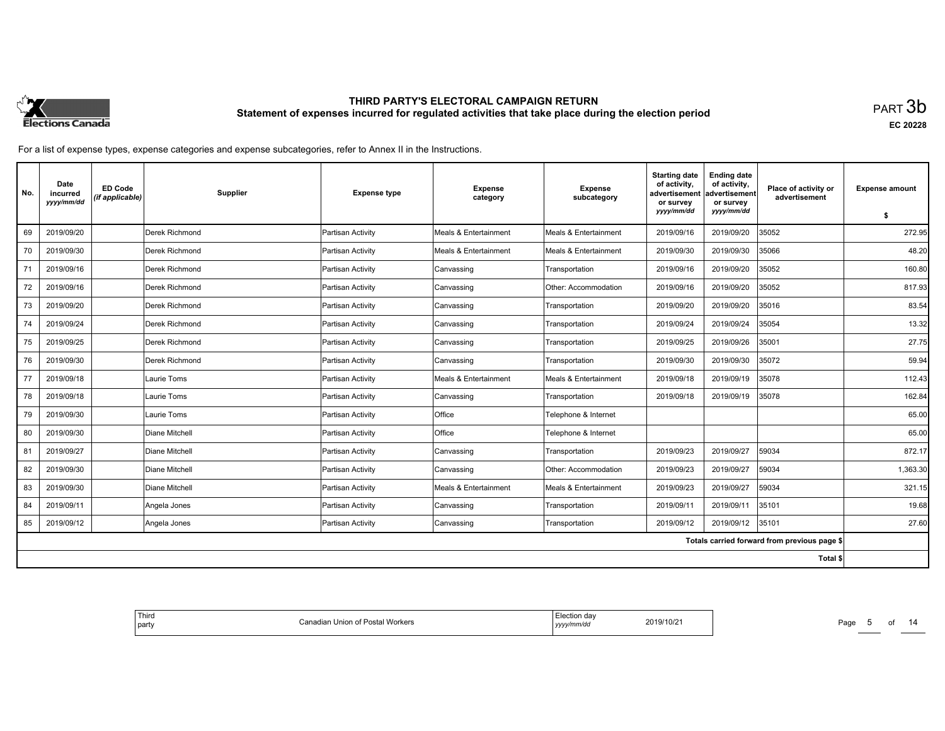

**EC 20228**

| No. | Date<br>incurred<br>yyyy/mm/dd | <b>ED Code</b><br>(if applicable) | Supplier       | <b>Expense type</b> | <b>Expense</b><br>category       | <b>Expense</b><br>subcategory | <b>Starting date</b><br>of activity.<br>advertisement<br>or survey | <b>Ending date</b><br>of activity,<br>advertisement<br>or survey | Place of activity or<br>advertisement        | <b>Expense amount</b> |
|-----|--------------------------------|-----------------------------------|----------------|---------------------|----------------------------------|-------------------------------|--------------------------------------------------------------------|------------------------------------------------------------------|----------------------------------------------|-----------------------|
|     |                                |                                   |                |                     |                                  |                               | yyyy/mm/dd                                                         | yyyy/mm/dd                                                       |                                              | S.                    |
| 69  | 2019/09/20                     |                                   | Derek Richmond | Partisan Activity   | <b>Meals &amp; Entertainment</b> | Meals & Entertainment         | 2019/09/16                                                         | 2019/09/20                                                       | 35052                                        | 272.95                |
| 70  | 2019/09/30                     |                                   | Derek Richmond | Partisan Activity   | Meals & Entertainment            | Meals & Entertainment         | 2019/09/30                                                         | 2019/09/30                                                       | 35066                                        | 48.20                 |
| 71  | 2019/09/16                     |                                   | Derek Richmond | Partisan Activity   | Canvassing                       | Transportation                | 2019/09/16                                                         | 2019/09/20                                                       | 35052                                        | 160.80                |
| 72  | 2019/09/16                     |                                   | Derek Richmond | Partisan Activity   | Canvassing                       | Other: Accommodation          | 2019/09/16                                                         | 2019/09/20                                                       | 35052                                        | 817.93                |
| 73  | 2019/09/20                     |                                   | Derek Richmond | Partisan Activity   | Canvassing                       | Transportation                | 2019/09/20                                                         | 2019/09/20                                                       | 35016                                        | 83.54                 |
| 74  | 2019/09/24                     |                                   | Derek Richmond | Partisan Activity   | Canvassing                       | Transportation                | 2019/09/24                                                         | 2019/09/24                                                       | 35054                                        | 13.32                 |
| 75  | 2019/09/25                     |                                   | Derek Richmond | Partisan Activity   | Canvassing                       | Transportation                | 2019/09/25                                                         | 2019/09/26                                                       | 35001                                        | 27.75                 |
| 76  | 2019/09/30                     |                                   | Derek Richmond | Partisan Activity   | Canvassing                       | Transportation                | 2019/09/30                                                         | 2019/09/30                                                       | 35072                                        | 59.94                 |
| 77  | 2019/09/18                     |                                   | Laurie Toms    | Partisan Activity   | <b>Meals &amp; Entertainment</b> | Meals & Entertainment         | 2019/09/18                                                         | 2019/09/19                                                       | 35078                                        | 112.43                |
| 78  | 2019/09/18                     |                                   | Laurie Toms    | Partisan Activity   | Canvassing                       | Transportation                | 2019/09/18                                                         | 2019/09/19                                                       | 35078                                        | 162.84                |
| 79  | 2019/09/30                     |                                   | Laurie Toms    | Partisan Activity   | <b>Office</b>                    | Telephone & Internet          |                                                                    |                                                                  |                                              | 65.00                 |
| 80  | 2019/09/30                     |                                   | Diane Mitchell | Partisan Activity   | <b>Office</b>                    | Telephone & Internet          |                                                                    |                                                                  |                                              | 65.00                 |
| 81  | 2019/09/27                     |                                   | Diane Mitchell | Partisan Activity   | Canvassing                       | Transportation                | 2019/09/23                                                         | 2019/09/27                                                       | 59034                                        | 872.17                |
| 82  | 2019/09/30                     |                                   | Diane Mitchell | Partisan Activity   | Canvassing                       | Other: Accommodation          | 2019/09/23                                                         | 2019/09/27                                                       | 59034                                        | 1,363.30              |
| 83  | 2019/09/30                     |                                   | Diane Mitchell | Partisan Activity   | Meals & Entertainment            | Meals & Entertainment         | 2019/09/23                                                         | 2019/09/27                                                       | 59034                                        | 321.15                |
| 84  | 2019/09/11                     |                                   | Angela Jones   | Partisan Activity   | Canvassing                       | Transportation                | 2019/09/11                                                         | 2019/09/11                                                       | 35101                                        | 19.68                 |
| 85  | 2019/09/12                     |                                   | Angela Jones   | Partisan Activity   | Canvassing                       | Transportation                | 2019/09/12                                                         | 2019/09/12                                                       | 35101                                        | 27.60                 |
|     |                                |                                   |                |                     |                                  |                               |                                                                    |                                                                  | Totals carried forward from previous page \$ |                       |
|     |                                |                                   |                |                     |                                  |                               |                                                                    |                                                                  | Total \$                                     |                       |

| Third<br>, Election dav<br>Canadian Union of Postal Workers<br>2019/10/21<br>.<br>  party<br>yyyy/mm/dd |
|---------------------------------------------------------------------------------------------------------|
|---------------------------------------------------------------------------------------------------------|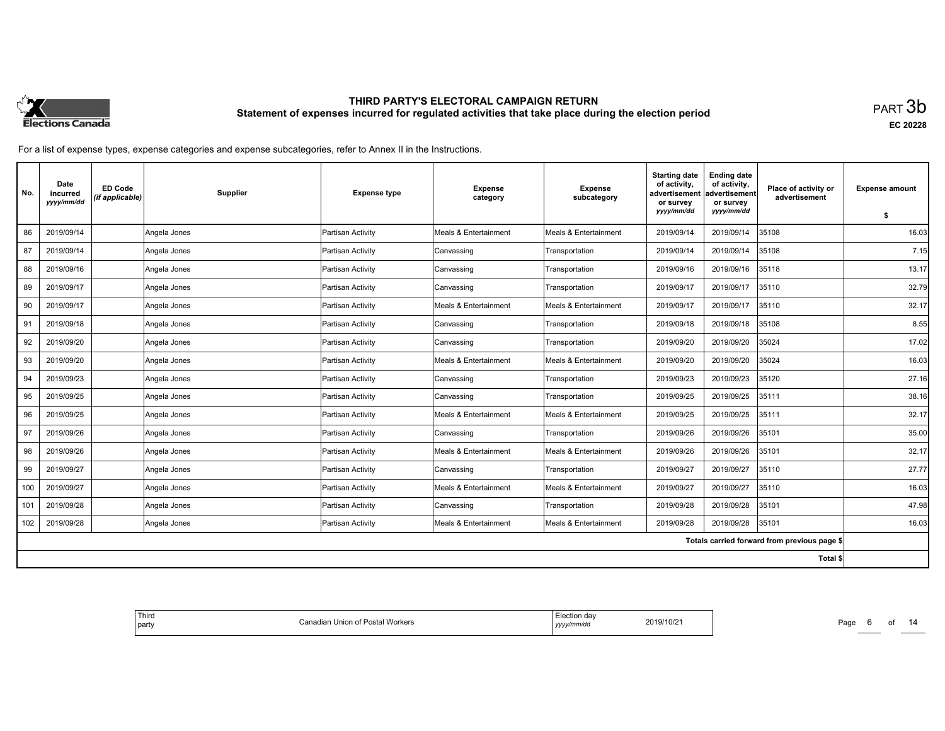

**EC 20228**

| No. | Date<br>incurred<br>yyyy/mm/dd | <b>ED Code</b><br>(if applicable) | <b>Supplier</b> | <b>Expense type</b> | <b>Expense</b><br>category       | <b>Expense</b><br>subcategory | <b>Starting date</b><br>of activity,<br>advertisement<br>or survey | <b>Ending date</b><br>of activity,<br>advertisement<br>or survey | Place of activity or<br>advertisement        | <b>Expense amount</b> |
|-----|--------------------------------|-----------------------------------|-----------------|---------------------|----------------------------------|-------------------------------|--------------------------------------------------------------------|------------------------------------------------------------------|----------------------------------------------|-----------------------|
|     |                                |                                   |                 |                     |                                  |                               | yyyy/mm/dd                                                         | yyyy/mm/dd                                                       |                                              | s.                    |
| 86  | 2019/09/14                     |                                   | Angela Jones    | Partisan Activity   | <b>Meals &amp; Entertainment</b> | Meals & Entertainment         | 2019/09/14                                                         | 2019/09/14                                                       | 35108                                        | 16.03                 |
| 87  | 2019/09/14                     |                                   | Angela Jones    | Partisan Activity   | Canvassing                       | Transportation                | 2019/09/14                                                         | 2019/09/14                                                       | 35108                                        | 7.15                  |
| 88  | 2019/09/16                     |                                   | Angela Jones    | Partisan Activity   | Canvassing                       | Transportation                | 2019/09/16                                                         | 2019/09/16                                                       | 35118                                        | 13.17                 |
| 89  | 2019/09/17                     |                                   | Angela Jones    | Partisan Activity   | Canvassing                       | Transportation                | 2019/09/17                                                         | 2019/09/17                                                       | 35110                                        | 32.79                 |
| 90  | 2019/09/17                     |                                   | Angela Jones    | Partisan Activity   | Meals & Entertainment            | Meals & Entertainment         | 2019/09/17                                                         | 2019/09/17                                                       | 35110                                        | 32.17                 |
| 91  | 2019/09/18                     |                                   | Angela Jones    | Partisan Activity   | Canvassing                       | Transportation                | 2019/09/18                                                         | 2019/09/18                                                       | 35108                                        | 8.55                  |
| 92  | 2019/09/20                     |                                   | Angela Jones    | Partisan Activity   | Canvassing                       | Transportation                | 2019/09/20                                                         | 2019/09/20                                                       | 35024                                        | 17.02                 |
| 93  | 2019/09/20                     |                                   | Angela Jones    | Partisan Activity   | Meals & Entertainment            | Meals & Entertainment         | 2019/09/20                                                         | 2019/09/20                                                       | 35024                                        | 16.03                 |
| 94  | 2019/09/23                     |                                   | Angela Jones    | Partisan Activity   | Canvassing                       | Transportation                | 2019/09/23                                                         | 2019/09/23                                                       | 35120                                        | 27.16                 |
| 95  | 2019/09/25                     |                                   | Angela Jones    | Partisan Activity   | Canvassing                       | Transportation                | 2019/09/25                                                         | 2019/09/25                                                       | 35111                                        | 38.16                 |
| 96  | 2019/09/25                     |                                   | Angela Jones    | Partisan Activity   | Meals & Entertainment            | Meals & Entertainment         | 2019/09/25                                                         | 2019/09/25                                                       | 35111                                        | 32.17                 |
| 97  | 2019/09/26                     |                                   | Angela Jones    | Partisan Activity   | Canvassing                       | Transportation                | 2019/09/26                                                         | 2019/09/26                                                       | 35101                                        | 35.00                 |
| 98  | 2019/09/26                     |                                   | Angela Jones    | Partisan Activity   | Meals & Entertainment            | Meals & Entertainment         | 2019/09/26                                                         | 2019/09/26                                                       | 35101                                        | 32.17                 |
| 99  | 2019/09/27                     |                                   | Angela Jones    | Partisan Activity   | Canvassing                       | Transportation                | 2019/09/27                                                         | 2019/09/27                                                       | 35110                                        | 27.77                 |
| 100 | 2019/09/27                     |                                   | Angela Jones    | Partisan Activity   | Meals & Entertainment            | Meals & Entertainment         | 2019/09/27                                                         | 2019/09/27                                                       | 35110                                        | 16.03                 |
| 101 | 2019/09/28                     |                                   | Angela Jones    | Partisan Activity   | Canvassing                       | Transportation                | 2019/09/28                                                         | 2019/09/28                                                       | 35101                                        | 47.98                 |
| 102 | 2019/09/28                     |                                   | Angela Jones    | Partisan Activity   | Meals & Entertainment            | Meals & Entertainment         | 2019/09/28                                                         | 2019/09/28                                                       | 35101                                        | 16.03                 |
|     |                                |                                   |                 |                     |                                  |                               |                                                                    |                                                                  | Totals carried forward from previous page \$ |                       |
|     |                                |                                   |                 |                     |                                  |                               |                                                                    |                                                                  | Total \$                                     |                       |

| ' Third<br>∟lection dav<br>2019/10/21<br>ا Union of Postal Workers<br>;anadiar<br>party<br>, yyyy/mm/dd |
|---------------------------------------------------------------------------------------------------------|
|---------------------------------------------------------------------------------------------------------|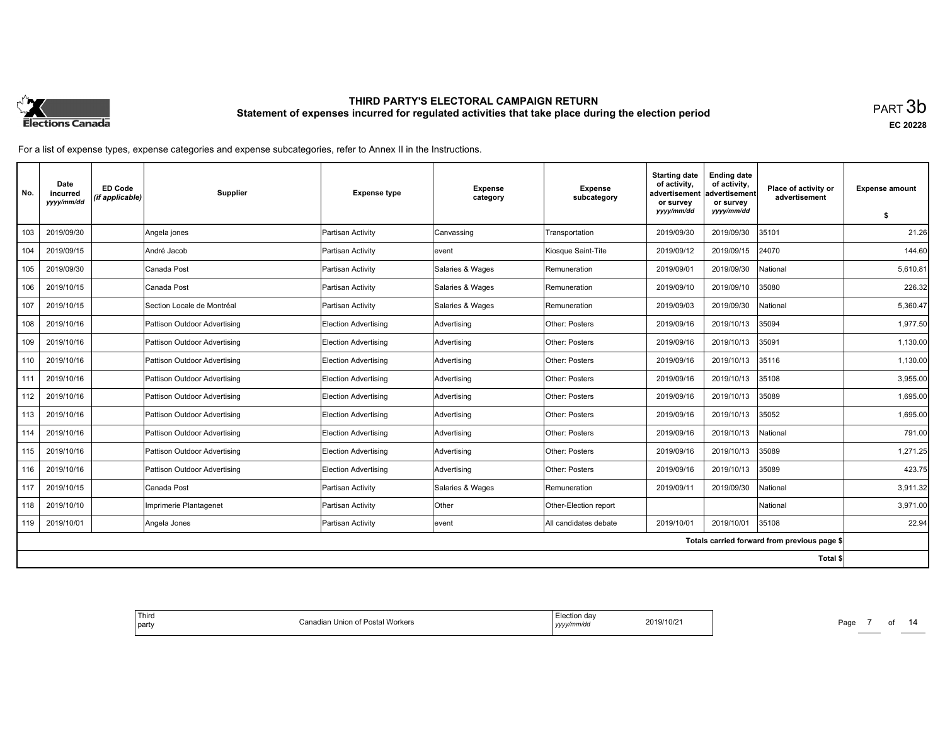

**EC 20228**

For a list of expense types, expense categories and expense subcategories, refer to Annex II in the Instructions.

| No. | Date<br>incurred<br>yyyy/mm/dd | <b>ED Code</b><br>(if applicable) | Supplier                     | <b>Expense type</b>         | <b>Expense</b><br>category | <b>Expense</b><br>subcategory | <b>Starting date</b><br>of activity.<br>advertisement<br>or survey | <b>Ending date</b><br>of activity,<br>ladvertisement<br>or survey | Place of activity or<br>advertisement        | <b>Expense amount</b> |
|-----|--------------------------------|-----------------------------------|------------------------------|-----------------------------|----------------------------|-------------------------------|--------------------------------------------------------------------|-------------------------------------------------------------------|----------------------------------------------|-----------------------|
|     |                                |                                   |                              |                             |                            |                               | yyyy/mm/dd                                                         | yyyy/mm/dd                                                        |                                              | s.                    |
| 103 | 2019/09/30                     |                                   | Angela jones                 | Partisan Activity           | Canvassing                 | Transportation                | 2019/09/30                                                         | 2019/09/30                                                        | 35101                                        | 21.26                 |
| 104 | 2019/09/15                     |                                   | André Jacob                  | Partisan Activity           | levent                     | Kiosque Saint-Tite            | 2019/09/12                                                         | 2019/09/15                                                        | 24070                                        | 144.60                |
| 105 | 2019/09/30                     |                                   | Canada Post                  | Partisan Activity           | Salaries & Wages           | Remuneration                  | 2019/09/01                                                         | 2019/09/30                                                        | National                                     | 5,610.81              |
| 106 | 2019/10/15                     |                                   | Canada Post                  | Partisan Activity           | Salaries & Wages           | Remuneration                  | 2019/09/10                                                         | 2019/09/10                                                        | 35080                                        | 226.32                |
| 107 | 2019/10/15                     |                                   | Section Locale de Montréal   | Partisan Activity           | Salaries & Wages           | Remuneration                  | 2019/09/03                                                         | 2019/09/30                                                        | National                                     | 5,360.47              |
| 108 | 2019/10/16                     |                                   | Pattison Outdoor Advertising | Election Advertising        | Advertising                | Other: Posters                | 2019/09/16                                                         | 2019/10/13                                                        | 35094                                        | 1,977.50              |
| 109 | 2019/10/16                     |                                   | Pattison Outdoor Advertising | Election Advertising        | Advertising                | Other: Posters                | 2019/09/16                                                         | 2019/10/13                                                        | 35091                                        | 1,130.00              |
| 110 | 2019/10/16                     |                                   | Pattison Outdoor Advertising | Election Advertising        | Advertising                | Other: Posters                | 2019/09/16                                                         | 2019/10/13                                                        | 35116                                        | 1.130.00              |
| 111 | 2019/10/16                     |                                   | Pattison Outdoor Advertising | <b>Election Advertising</b> | Advertising                | Other: Posters                | 2019/09/16                                                         | 2019/10/13                                                        | 35108                                        | 3,955.00              |
| 112 | 2019/10/16                     |                                   | Pattison Outdoor Advertising | Election Advertising        | Advertising                | Other: Posters                | 2019/09/16                                                         | 2019/10/13                                                        | 35089                                        | 1,695.00              |
| 113 | 2019/10/16                     |                                   | Pattison Outdoor Advertising | Election Advertising        | Advertising                | Other: Posters                | 2019/09/16                                                         | 2019/10/13                                                        | 35052                                        | 1,695.00              |
| 114 | 2019/10/16                     |                                   | Pattison Outdoor Advertising | Election Advertising        | Advertising                | Other: Posters                | 2019/09/16                                                         | 2019/10/13                                                        | National                                     | 791.00                |
| 115 | 2019/10/16                     |                                   | Pattison Outdoor Advertising | Election Advertising        | Advertising                | Other: Posters                | 2019/09/16                                                         | 2019/10/13                                                        | 35089                                        | 1,271.25              |
| 116 | 2019/10/16                     |                                   | Pattison Outdoor Advertising | Election Advertising        | Advertising                | Other: Posters                | 2019/09/16                                                         | 2019/10/13                                                        | 35089                                        | 423.75                |
| 117 | 2019/10/15                     |                                   | Canada Post                  | Partisan Activity           | Salaries & Wages           | Remuneration                  | 2019/09/11                                                         | 2019/09/30                                                        | National                                     | 3.911.32              |
| 118 | 2019/10/10                     |                                   | Imprimerie Plantagenet       | Partisan Activity           | Other                      | Other-Election report         |                                                                    |                                                                   | National                                     | 3.971.00              |
| 119 | 2019/10/01                     |                                   | Angela Jones                 | Partisan Activity           | levent                     | All candidates debate         | 2019/10/01                                                         | 2019/10/01                                                        | 35108                                        | 22.94                 |
|     |                                |                                   |                              |                             |                            |                               |                                                                    |                                                                   | Totals carried forward from previous page \$ |                       |
|     |                                |                                   |                              |                             |                            |                               |                                                                    |                                                                   | Total \$                                     |                       |

| l Thiro<br>Flection day<br>2019/10/21<br>Canadian Union of Postal Workers<br>  party<br>yyyy/mm/dd<br>. |
|---------------------------------------------------------------------------------------------------------|
|---------------------------------------------------------------------------------------------------------|

Page 7 of 14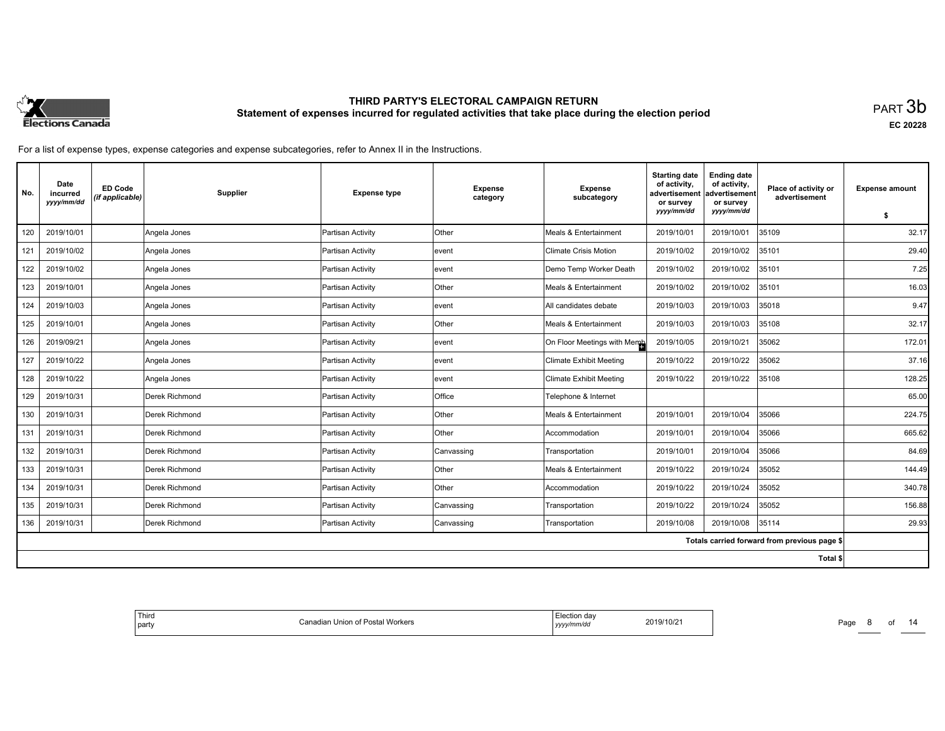

**EC 20228**

| No. | Date<br>incurred<br>yyyy/mm/dd | <b>ED Code</b><br>(if applicable) | Supplier       | <b>Expense type</b> | <b>Expense</b><br>category | <b>Expense</b><br>subcategory  | <b>Starting date</b><br>of activity,<br>advertisement<br>or survey<br>yyyy/mm/dd | <b>Ending date</b><br>of activity,<br>advertisement<br>or survey<br>yyyy/mm/dd | Place of activity or<br>advertisement        | <b>Expense amount</b> |
|-----|--------------------------------|-----------------------------------|----------------|---------------------|----------------------------|--------------------------------|----------------------------------------------------------------------------------|--------------------------------------------------------------------------------|----------------------------------------------|-----------------------|
|     |                                |                                   |                |                     |                            |                                |                                                                                  |                                                                                |                                              | \$                    |
| 120 | 2019/10/01                     |                                   | Angela Jones   | Partisan Activity   | Other                      | Meals & Entertainment          | 2019/10/01                                                                       | 2019/10/01                                                                     | 35109                                        | 32.17                 |
| 121 | 2019/10/02                     |                                   | Angela Jones   | Partisan Activity   | levent                     | <b>Climate Crisis Motion</b>   | 2019/10/02                                                                       | 2019/10/02                                                                     | 35101                                        | 29.40                 |
| 122 | 2019/10/02                     |                                   | Angela Jones   | Partisan Activity   | levent                     | Demo Temp Worker Death         | 2019/10/02                                                                       | 2019/10/02                                                                     | 35101                                        | 7.25                  |
| 123 | 2019/10/01                     |                                   | Angela Jones   | Partisan Activity   | Other                      | Meals & Entertainment          | 2019/10/02                                                                       | 2019/10/02                                                                     | 35101                                        | 16.03                 |
| 124 | 2019/10/03                     |                                   | Angela Jones   | Partisan Activity   | levent                     | All candidates debate          | 2019/10/03                                                                       | 2019/10/03                                                                     | 35018                                        | 9.47                  |
| 125 | 2019/10/01                     |                                   | Angela Jones   | Partisan Activity   | Other                      | Meals & Entertainment          | 2019/10/03                                                                       | 2019/10/03                                                                     | 35108                                        | 32.17                 |
| 126 | 2019/09/21                     |                                   | Angela Jones   | Partisan Activity   | levent                     | On Floor Meetings with Memb    | 2019/10/05                                                                       | 2019/10/21                                                                     | 35062                                        | 172.01                |
| 127 | 2019/10/22                     |                                   | Angela Jones   | Partisan Activity   | event                      | <b>Climate Exhibit Meeting</b> | 2019/10/22                                                                       | 2019/10/22                                                                     | 35062                                        | 37.16                 |
| 128 | 2019/10/22                     |                                   | Angela Jones   | Partisan Activity   | levent                     | <b>Climate Exhibit Meeting</b> | 2019/10/22                                                                       | 2019/10/22                                                                     | 35108                                        | 128.25                |
| 129 | 2019/10/31                     |                                   | Derek Richmond | Partisan Activity   | Office                     | Telephone & Internet           |                                                                                  |                                                                                |                                              | 65.00                 |
| 130 | 2019/10/31                     |                                   | Derek Richmond | Partisan Activity   | Other                      | Meals & Entertainment          | 2019/10/01                                                                       | 2019/10/04                                                                     | 35066                                        | 224.75                |
| 131 | 2019/10/31                     |                                   | Derek Richmond | Partisan Activity   | Other                      | Accommodation                  | 2019/10/01                                                                       | 2019/10/04                                                                     | 35066                                        | 665.62                |
| 132 | 2019/10/31                     |                                   | Derek Richmond | Partisan Activity   | Canvassing                 | Transportation                 | 2019/10/01                                                                       | 2019/10/04                                                                     | 35066                                        | 84.69                 |
| 133 | 2019/10/31                     |                                   | Derek Richmond | Partisan Activity   | Other                      | Meals & Entertainment          | 2019/10/22                                                                       | 2019/10/24                                                                     | 35052                                        | 144.49                |
| 134 | 2019/10/31                     |                                   | Derek Richmond | Partisan Activity   | Other                      | Accommodation                  | 2019/10/22                                                                       | 2019/10/24                                                                     | 35052                                        | 340.78                |
| 135 | 2019/10/31                     |                                   | Derek Richmond | Partisan Activity   | Canvassing                 | Transportation                 | 2019/10/22                                                                       | 2019/10/24                                                                     | 35052                                        | 156.88                |
| 136 | 2019/10/31                     |                                   | Derek Richmond | Partisan Activity   | Canvassing                 | Transportation                 | 2019/10/08                                                                       | 2019/10/08                                                                     | 35114                                        | 29.93                 |
|     |                                |                                   |                |                     |                            |                                |                                                                                  |                                                                                | Totals carried forward from previous page \$ |                       |
|     |                                |                                   |                |                     |                            |                                |                                                                                  |                                                                                | Total \$                                     |                       |

| ' Third<br>Election day<br>t Union of Postal Workers<br>2019/10/21<br>ำลnadian ∟<br>party<br>yyyy/mm/dd |
|---------------------------------------------------------------------------------------------------------|
|---------------------------------------------------------------------------------------------------------|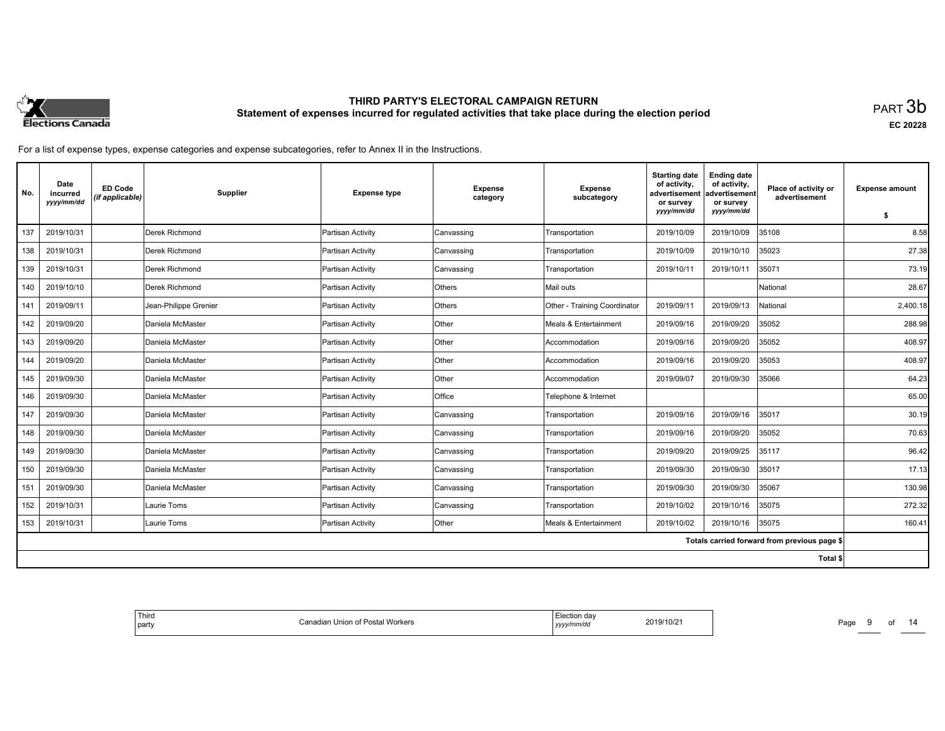

**EC 20228**

For a list of expense types, expense categories and expense subcategories, refer to Annex II in the Instructions.

| No. | Date<br>incurred<br>yyyy/mm/dd | <b>ED Code</b><br>(if applicable) | Supplier              | <b>Expense type</b> | <b>Expense</b><br>category | <b>Expense</b><br>subcategory | <b>Starting date</b><br>of activity.<br>advertisement<br>or survey | <b>Ending date</b><br>of activity,<br>advertisement<br>or survey | Place of activity or<br>advertisement        | <b>Expense amount</b> |
|-----|--------------------------------|-----------------------------------|-----------------------|---------------------|----------------------------|-------------------------------|--------------------------------------------------------------------|------------------------------------------------------------------|----------------------------------------------|-----------------------|
|     |                                |                                   |                       |                     |                            |                               | yyyy/mm/dd                                                         | yyyy/mm/dd                                                       |                                              | \$                    |
| 137 | 2019/10/31                     |                                   | Derek Richmond        | Partisan Activity   | Canvassing                 | Transportation                | 2019/10/09                                                         | 2019/10/09                                                       | 35108                                        | 8.58                  |
| 138 | 2019/10/31                     |                                   | Derek Richmond        | Partisan Activity   | Canvassing                 | Transportation                | 2019/10/09                                                         | 2019/10/10                                                       | 35023                                        | 27.38                 |
| 139 | 2019/10/31                     |                                   | Derek Richmond        | Partisan Activity   | Canvassing                 | Transportation                | 2019/10/11                                                         | 2019/10/11                                                       | 35071                                        | 73.19                 |
| 140 | 2019/10/10                     |                                   | Derek Richmond        | Partisan Activity   | Others                     | Mail outs                     |                                                                    |                                                                  | National                                     | 28.67                 |
| 141 | 2019/09/11                     |                                   | Jean-Philippe Grenier | Partisan Activity   | Others                     | Other - Training Coordinator  | 2019/09/11                                                         | 2019/09/13                                                       | National                                     | 2,400.18              |
| 142 | 2019/09/20                     |                                   | Daniela McMaster      | Partisan Activity   | Other                      | Meals & Entertainment         | 2019/09/16                                                         | 2019/09/20                                                       | 35052                                        | 288.98                |
| 143 | 2019/09/20                     |                                   | Daniela McMaster      | Partisan Activity   | Other                      | Accommodation                 | 2019/09/16                                                         | 2019/09/20                                                       | 35052                                        | 408.97                |
| 144 | 2019/09/20                     |                                   | Daniela McMaster      | Partisan Activity   | Other                      | Accommodation                 | 2019/09/16                                                         | 2019/09/20                                                       | 35053                                        | 408.97                |
| 145 | 2019/09/30                     |                                   | Daniela McMaster      | Partisan Activity   | <b>Other</b>               | Accommodation                 | 2019/09/07                                                         | 2019/09/30                                                       | 35066                                        | 64.23                 |
| 146 | 2019/09/30                     |                                   | Daniela McMaster      | Partisan Activity   | Office                     | Telephone & Internet          |                                                                    |                                                                  |                                              | 65.00                 |
| 147 | 2019/09/30                     |                                   | Daniela McMaster      | Partisan Activity   | Canvassing                 | Transportation                | 2019/09/16                                                         | 2019/09/16                                                       | 35017                                        | 30.19                 |
| 148 | 2019/09/30                     |                                   | Daniela McMaster      | Partisan Activity   | Canvassing                 | Transportation                | 2019/09/16                                                         | 2019/09/20                                                       | 35052                                        | 70.63                 |
| 149 | 2019/09/30                     |                                   | Daniela McMaster      | Partisan Activity   | Canvassing                 | Transportation                | 2019/09/20                                                         | 2019/09/25                                                       | 35117                                        | 96.42                 |
| 150 | 2019/09/30                     |                                   | Daniela McMaster      | Partisan Activity   | Canvassing                 | Transportation                | 2019/09/30                                                         | 2019/09/30                                                       | 35017                                        | 17.13                 |
| 151 | 2019/09/30                     |                                   | Daniela McMaster      | Partisan Activity   | Canvassing                 | Transportation                | 2019/09/30                                                         | 2019/09/30                                                       | 35067                                        | 130.98                |
| 152 | 2019/10/31                     |                                   | Laurie Toms           | Partisan Activity   | Canvassing                 | Transportation                | 2019/10/02                                                         | 2019/10/16                                                       | 35075                                        | 272.32                |
| 153 | 2019/10/31                     |                                   | Laurie Toms           | Partisan Activity   | Other                      | Meals & Entertainment         | 2019/10/02                                                         | 2019/10/16                                                       | 35075                                        | 160.41                |
|     |                                |                                   |                       |                     |                            |                               |                                                                    |                                                                  | Totals carried forward from previous page \$ |                       |
|     |                                |                                   |                       |                     |                            |                               |                                                                    |                                                                  | Total \$                                     |                       |

| 2019/10/21<br>Union of Postal Workers<br>ำจnadia⊪<br>party<br>v/mm/ac<br>,,,,, |
|--------------------------------------------------------------------------------|
|--------------------------------------------------------------------------------|

Page 9 of 14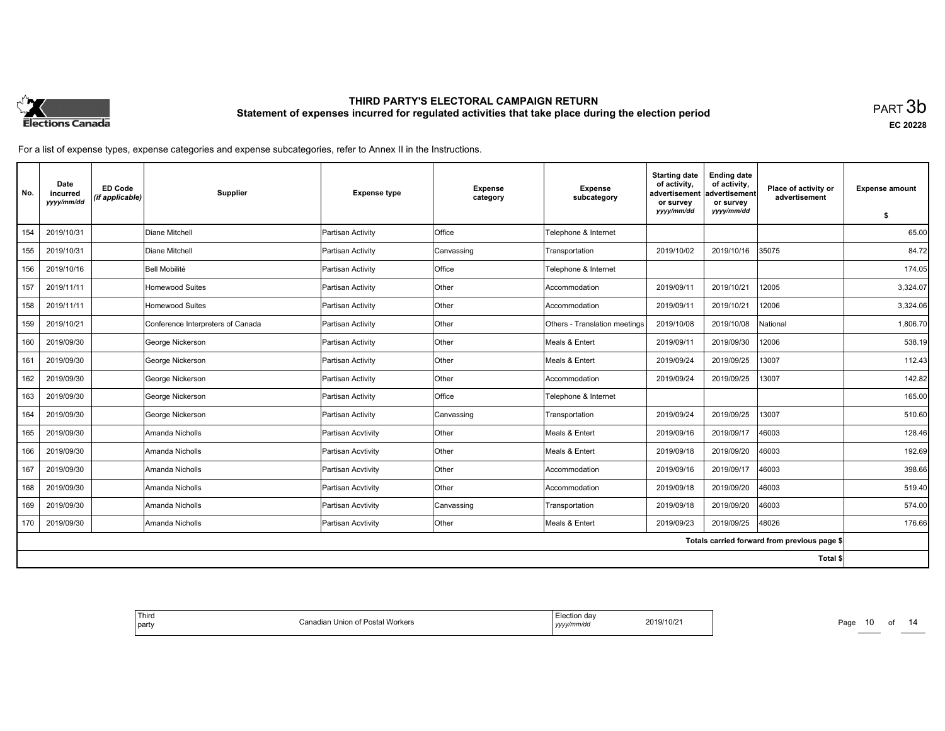

**EC 20228**

For a list of expense types, expense categories and expense subcategories, refer to Annex II in the Instructions.

| No. | Date<br>incurred<br>yyyy/mm/dd | <b>ED Code</b><br>(if applicable) | Supplier                          | <b>Expense type</b> | <b>Expense</b><br>category | <b>Expense</b><br>subcategory | <b>Starting date</b><br>of activity.<br>advertisement<br>or survey | <b>Ending date</b><br>of activity,<br>ladvertisement<br>or survey | Place of activity or<br>advertisement        | <b>Expense amount</b> |
|-----|--------------------------------|-----------------------------------|-----------------------------------|---------------------|----------------------------|-------------------------------|--------------------------------------------------------------------|-------------------------------------------------------------------|----------------------------------------------|-----------------------|
|     |                                |                                   |                                   |                     |                            |                               | yyyy/mm/dd                                                         | yyyy/mm/dd                                                        |                                              | s.                    |
| 154 | 2019/10/31                     |                                   | Diane Mitchell                    | Partisan Activity   | Office                     | Telephone & Internet          |                                                                    |                                                                   |                                              | 65.00                 |
| 155 | 2019/10/31                     |                                   | Diane Mitchell                    | Partisan Activity   | Canvassing                 | Transportation                | 2019/10/02                                                         | 2019/10/16                                                        | 35075                                        | 84.72                 |
| 156 | 2019/10/16                     |                                   | Bell Mobilité                     | Partisan Activity   | <b>Office</b>              | Telephone & Internet          |                                                                    |                                                                   |                                              | 174.05                |
| 157 | 2019/11/11                     |                                   | Homewood Suites                   | Partisan Activity   | Other                      | Accommodation                 | 2019/09/11                                                         | 2019/10/21                                                        | 12005                                        | 3,324.07              |
| 158 | 2019/11/11                     |                                   | Homewood Suites                   | Partisan Activity   | Other                      | Accommodation                 | 2019/09/11                                                         | 2019/10/21                                                        | 12006                                        | 3,324.06              |
| 159 | 2019/10/21                     |                                   | Conference Interpreters of Canada | Partisan Activity   | Other                      | Others - Translation meetings | 2019/10/08                                                         | 2019/10/08                                                        | National                                     | 1,806.70              |
| 160 | 2019/09/30                     |                                   | George Nickerson                  | Partisan Activity   | Other                      | Meals & Entert                | 2019/09/11                                                         | 2019/09/30                                                        | 12006                                        | 538.19                |
| 161 | 2019/09/30                     |                                   | George Nickerson                  | Partisan Activity   | <b>Other</b>               | Meals & Entert                | 2019/09/24                                                         | 2019/09/25                                                        | 13007                                        | 112.43                |
| 162 | 2019/09/30                     |                                   | George Nickerson                  | Partisan Activity   | Other                      | Accommodation                 | 2019/09/24                                                         | 2019/09/25                                                        | 13007                                        | 142.82                |
| 163 | 2019/09/30                     |                                   | George Nickerson                  | Partisan Activity   | Office                     | Telephone & Internet          |                                                                    |                                                                   |                                              | 165.00                |
| 164 | 2019/09/30                     |                                   | George Nickerson                  | Partisan Activity   | Canvassing                 | Transportation                | 2019/09/24                                                         | 2019/09/25                                                        | 13007                                        | 510.60                |
| 165 | 2019/09/30                     |                                   | Amanda Nicholls                   | Partisan Acvtivity  | Other                      | Meals & Entert                | 2019/09/16                                                         | 2019/09/17                                                        | 46003                                        | 128.46                |
| 166 | 2019/09/30                     |                                   | Amanda Nicholls                   | Partisan Acvtivity  | Other                      | Meals & Entert                | 2019/09/18                                                         | 2019/09/20                                                        | 46003                                        | 192.69                |
| 167 | 2019/09/30                     |                                   | Amanda Nicholls                   | Partisan Acvtivity  | Other                      | Accommodation                 | 2019/09/16                                                         | 2019/09/17                                                        | 46003                                        | 398.66                |
| 168 | 2019/09/30                     |                                   | Amanda Nicholls                   | Partisan Acvtivity  | <b>Other</b>               | Accommodation                 | 2019/09/18                                                         | 2019/09/20                                                        | 46003                                        | 519.40                |
| 169 | 2019/09/30                     |                                   | Amanda Nicholls                   | Partisan Acvtivity  | Canvassing                 | Transportation                | 2019/09/18                                                         | 2019/09/20                                                        | 46003                                        | 574.00                |
| 170 | 2019/09/30                     |                                   | Amanda Nicholls                   | Partisan Acvtivity  | Other                      | Meals & Entert                | 2019/09/23                                                         | 2019/09/25                                                        | 48026                                        | 176.66                |
|     |                                |                                   |                                   |                     |                            |                               |                                                                    |                                                                   | Totals carried forward from previous page \$ |                       |
|     |                                |                                   |                                   |                     |                            |                               |                                                                    |                                                                   | Total \$                                     |                       |

| ' Third<br>l party | Canadian Union of Postal Workers | Election day<br>.<br>yyyy/mm/dd | 2019/10/21 |
|--------------------|----------------------------------|---------------------------------|------------|
|                    |                                  |                                 |            |

Page 10 of 14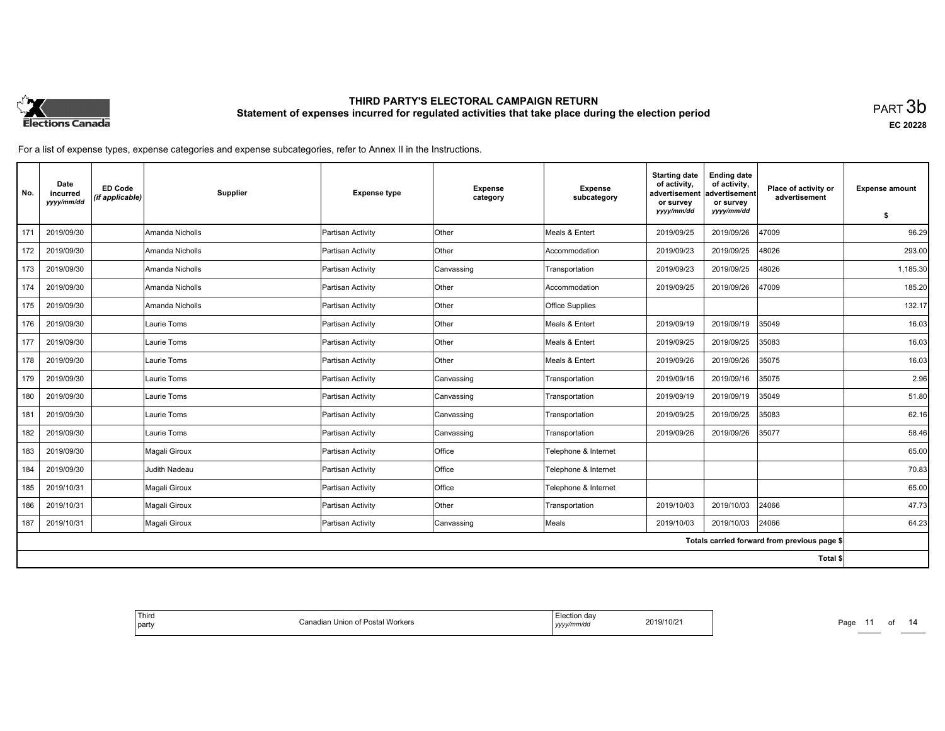

**EC 20228**

For a list of expense types, expense categories and expense subcategories, refer to Annex II in the Instructions.

| No. | Date<br>incurred<br>yyyy/mm/dd | <b>ED Code</b><br>(if applicable) | <b>Supplier</b> | <b>Expense type</b> | <b>Expense</b><br>category | <b>Expense</b><br>subcategory | <b>Starting date</b><br>of activity,<br>advertisement<br>or survey | <b>Ending date</b><br>of activity,<br>advertisement<br>or survey | Place of activity or<br>advertisement        | <b>Expense amount</b> |
|-----|--------------------------------|-----------------------------------|-----------------|---------------------|----------------------------|-------------------------------|--------------------------------------------------------------------|------------------------------------------------------------------|----------------------------------------------|-----------------------|
|     |                                |                                   |                 |                     |                            |                               | yyyy/mm/dd                                                         | yyyy/mm/dd                                                       |                                              | S.                    |
| 171 | 2019/09/30                     |                                   | Amanda Nicholls | Partisan Activity   | lOther                     | Meals & Entert                | 2019/09/25                                                         | 2019/09/26                                                       | 47009                                        | 96.29                 |
| 172 | 2019/09/30                     |                                   | Amanda Nicholls | Partisan Activity   | Other                      | Accommodation                 | 2019/09/23                                                         | 2019/09/25                                                       | 48026                                        | 293.00                |
| 173 | 2019/09/30                     |                                   | Amanda Nicholls | Partisan Activity   | Canvassing                 | Transportation                | 2019/09/23                                                         | 2019/09/25                                                       | 48026                                        | 1,185.30              |
| 174 | 2019/09/30                     |                                   | Amanda Nicholls | Partisan Activity   | Other                      | Accommodation                 | 2019/09/25                                                         | 2019/09/26                                                       | 47009                                        | 185.20                |
| 175 | 2019/09/30                     |                                   | Amanda Nicholls | Partisan Activity   | <b>Other</b>               | <b>Office Supplies</b>        |                                                                    |                                                                  |                                              | 132.17                |
| 176 | 2019/09/30                     |                                   | Laurie Toms     | Partisan Activity   | <b>Other</b>               | Meals & Entert                | 2019/09/19                                                         | 2019/09/19                                                       | 35049                                        | 16.03                 |
| 177 | 2019/09/30                     |                                   | Laurie Toms     | Partisan Activity   | Other                      | Meals & Entert                | 2019/09/25                                                         | 2019/09/25                                                       | 35083                                        | 16.03                 |
| 178 | 2019/09/30                     |                                   | Laurie Toms     | Partisan Activity   | <b>Other</b>               | Meals & Entert                | 2019/09/26                                                         | 2019/09/26                                                       | 35075                                        | 16.03                 |
| 179 | 2019/09/30                     |                                   | Laurie Toms     | Partisan Activity   | Canvassing                 | Transportation                | 2019/09/16                                                         | 2019/09/16                                                       | 35075                                        | 2.96                  |
| 180 | 2019/09/30                     |                                   | Laurie Toms     | Partisan Activity   | Canvassing                 | Transportation                | 2019/09/19                                                         | 2019/09/19                                                       | 35049                                        | 51.80                 |
| 181 | 2019/09/30                     |                                   | Laurie Toms     | Partisan Activity   | Canvassing                 | Transportation                | 2019/09/25                                                         | 2019/09/25                                                       | 35083                                        | 62.16                 |
| 182 | 2019/09/30                     |                                   | Laurie Toms     | Partisan Activity   | Canvassing                 | Transportation                | 2019/09/26                                                         | 2019/09/26                                                       | 35077                                        | 58.46                 |
| 183 | 2019/09/30                     |                                   | Magali Giroux   | Partisan Activity   | <b>Office</b>              | Telephone & Internet          |                                                                    |                                                                  |                                              | 65.00                 |
| 184 | 2019/09/30                     |                                   | Judith Nadeau   | Partisan Activity   | Office                     | Telephone & Internet          |                                                                    |                                                                  |                                              | 70.83                 |
| 185 | 2019/10/31                     |                                   | Magali Giroux   | Partisan Activity   | <b>Office</b>              | Telephone & Internet          |                                                                    |                                                                  |                                              | 65.00                 |
| 186 | 2019/10/31                     |                                   | Magali Giroux   | Partisan Activity   | Other                      | Transportation                | 2019/10/03                                                         | 2019/10/03                                                       | 24066                                        | 47.73                 |
| 187 | 2019/10/31                     |                                   | Magali Giroux   | Partisan Activity   | Canvassing                 | Meals                         | 2019/10/03                                                         | 2019/10/03                                                       | 24066                                        | 64.23                 |
|     |                                |                                   |                 |                     |                            |                               |                                                                    |                                                                  | Totals carried forward from previous page \$ |                       |
|     |                                |                                   |                 |                     |                            |                               |                                                                    |                                                                  | Total \$                                     |                       |

| Third<br>Election day<br>2019/10/2<br>.<br>iadian Union of Postal Workers<br>ົ`ລnລ∩⊫<br>party<br>yy/mm/dd<br>,,,, |
|-------------------------------------------------------------------------------------------------------------------|
|-------------------------------------------------------------------------------------------------------------------|

Page 11 of 14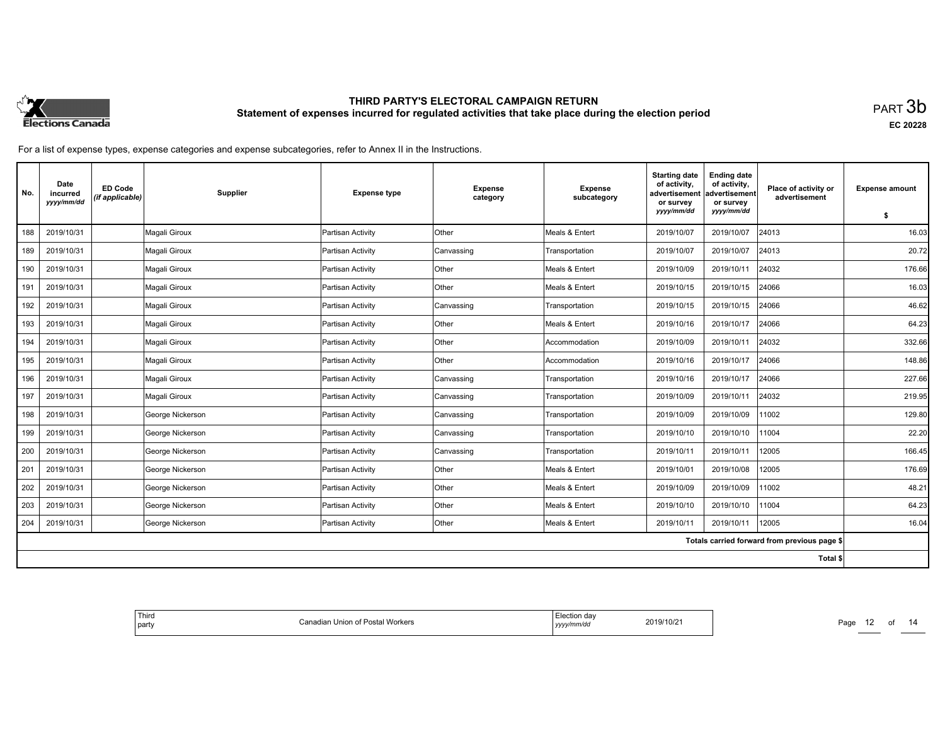

**EC 20228**

| No. | Date<br>incurred<br>yyyy/mm/dd | <b>ED Code</b><br>(if applicable) | Supplier         | <b>Expense type</b> | <b>Expense</b><br>category | <b>Expense</b><br>subcategory | <b>Starting date</b><br>of activity,<br>advertisement<br>or survey | <b>Ending date</b><br>of activity,<br>advertisement<br>or survey | Place of activity or<br>advertisement        | <b>Expense amount</b> |
|-----|--------------------------------|-----------------------------------|------------------|---------------------|----------------------------|-------------------------------|--------------------------------------------------------------------|------------------------------------------------------------------|----------------------------------------------|-----------------------|
|     |                                |                                   |                  |                     |                            |                               | yyyy/mm/dd                                                         | yyyy/mm/dd                                                       |                                              | \$                    |
| 188 | 2019/10/31                     |                                   | Magali Giroux    | Partisan Activity   | lOther                     | Meals & Entert                | 2019/10/07                                                         | 2019/10/07                                                       | 24013                                        | 16.03                 |
| 189 | 2019/10/31                     |                                   | Magali Giroux    | Partisan Activity   | Canvassing                 | Transportation                | 2019/10/07                                                         | 2019/10/07                                                       | 24013                                        | 20.72                 |
| 190 | 2019/10/31                     |                                   | Magali Giroux    | Partisan Activity   | Other                      | Meals & Entert                | 2019/10/09                                                         | 2019/10/11                                                       | 24032                                        | 176.66                |
| 191 | 2019/10/31                     |                                   | Magali Giroux    | Partisan Activity   | Other                      | Meals & Entert                | 2019/10/15                                                         | 2019/10/15                                                       | 24066                                        | 16.03                 |
| 192 | 2019/10/31                     |                                   | Magali Giroux    | Partisan Activity   | Canvassing                 | Transportation                | 2019/10/15                                                         | 2019/10/15                                                       | 24066                                        | 46.62                 |
| 193 | 2019/10/31                     |                                   | Magali Giroux    | Partisan Activity   | Other                      | Meals & Entert                | 2019/10/16                                                         | 2019/10/17                                                       | 24066                                        | 64.23                 |
| 194 | 2019/10/31                     |                                   | Magali Giroux    | Partisan Activity   | Other                      | Accommodation                 | 2019/10/09                                                         | 2019/10/11                                                       | 24032                                        | 332.66                |
| 195 | 2019/10/31                     |                                   | Magali Giroux    | Partisan Activity   | Other                      | Accommodation                 | 2019/10/16                                                         | 2019/10/17                                                       | 24066                                        | 148.86                |
| 196 | 2019/10/31                     |                                   | Magali Giroux    | Partisan Activity   | Canvassing                 | Transportation                | 2019/10/16                                                         | 2019/10/17                                                       | 24066                                        | 227.66                |
| 197 | 2019/10/31                     |                                   | Magali Giroux    | Partisan Activity   | Canvassing                 | Transportation                | 2019/10/09                                                         | 2019/10/11                                                       | 24032                                        | 219.95                |
| 198 | 2019/10/31                     |                                   | George Nickerson | Partisan Activity   | Canvassing                 | Transportation                | 2019/10/09                                                         | 2019/10/09                                                       | 11002                                        | 129.80                |
| 199 | 2019/10/31                     |                                   | George Nickerson | Partisan Activity   | Canvassing                 | Transportation                | 2019/10/10                                                         | 2019/10/10                                                       | 11004                                        | 22.20                 |
| 200 | 2019/10/31                     |                                   | George Nickerson | Partisan Activity   | Canvassing                 | Transportation                | 2019/10/11                                                         | 2019/10/11                                                       | 12005                                        | 166.45                |
| 201 | 2019/10/31                     |                                   | George Nickerson | Partisan Activity   | Other                      | Meals & Entert                | 2019/10/01                                                         | 2019/10/08                                                       | 12005                                        | 176.69                |
| 202 | 2019/10/31                     |                                   | George Nickerson | Partisan Activity   | Other                      | Meals & Entert                | 2019/10/09                                                         | 2019/10/09                                                       | 11002                                        | 48.21                 |
| 203 | 2019/10/31                     |                                   | George Nickerson | Partisan Activity   | Other                      | Meals & Entert                | 2019/10/10                                                         | 2019/10/10                                                       | 11004                                        | 64.23                 |
| 204 | 2019/10/31                     |                                   | George Nickerson | Partisan Activity   | Other                      | Meals & Entert                | 2019/10/11                                                         | 2019/10/11                                                       | 12005                                        | 16.04                 |
|     |                                |                                   |                  |                     |                            |                               |                                                                    |                                                                  | Totals carried forward from previous page \$ |                       |
|     |                                |                                   |                  |                     |                            |                               |                                                                    |                                                                  | Total \$                                     |                       |

| Thira<br>ection dav.<br>2019/10/2 <sup>-</sup><br>dian Union of Postal Workers<br>$\sim$<br>' party<br>vyyy/mm/da<br>. |
|------------------------------------------------------------------------------------------------------------------------|
|------------------------------------------------------------------------------------------------------------------------|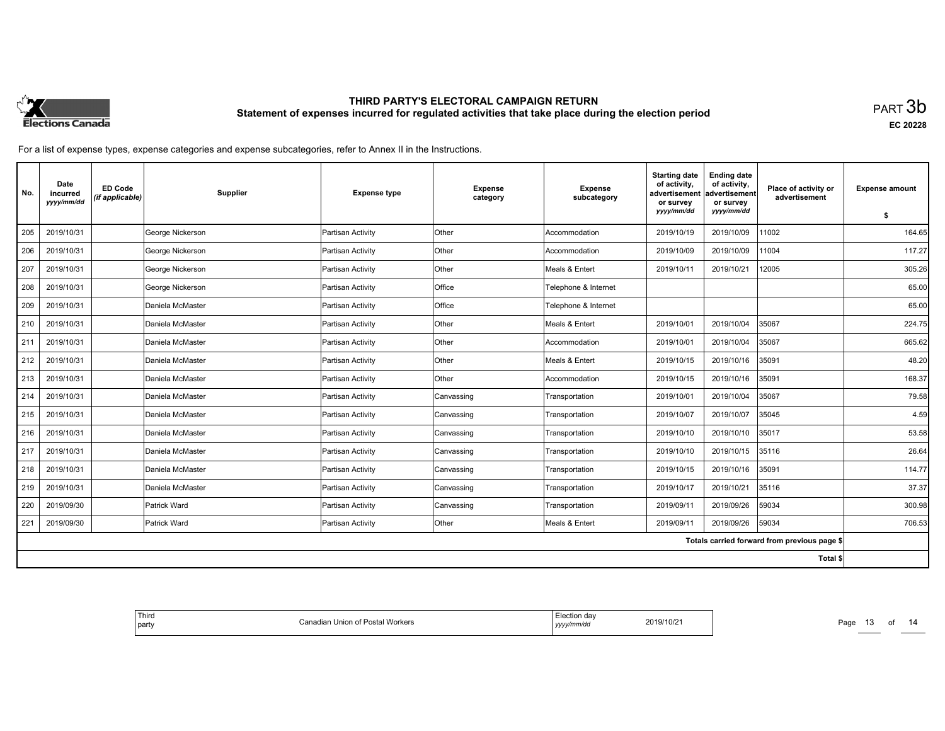

**EC 20228**

| No. | Date<br>incurred<br>yyyy/mm/dd | <b>ED Code</b><br>(if applicable) | Supplier         | <b>Expense type</b> | <b>Expense</b><br>category | <b>Expense</b><br>subcategory | <b>Starting date</b><br>of activity.<br>advertisement<br>or survey | <b>Ending date</b><br>of activity,<br>advertisement<br>or survey | Place of activity or<br>advertisement        | <b>Expense amount</b> |
|-----|--------------------------------|-----------------------------------|------------------|---------------------|----------------------------|-------------------------------|--------------------------------------------------------------------|------------------------------------------------------------------|----------------------------------------------|-----------------------|
|     |                                |                                   |                  |                     |                            |                               | yyyy/mm/dd                                                         | yyyy/mm/dd                                                       |                                              | s.                    |
| 205 | 2019/10/31                     |                                   | George Nickerson | Partisan Activity   | <b>Other</b>               | Accommodation                 | 2019/10/19                                                         | 2019/10/09                                                       | 11002                                        | 164.65                |
| 206 | 2019/10/31                     |                                   | George Nickerson | Partisan Activity   | Other                      | Accommodation                 | 2019/10/09                                                         | 2019/10/09                                                       | 11004                                        | 117.27                |
| 207 | 2019/10/31                     |                                   | George Nickerson | Partisan Activity   | Other                      | Meals & Entert                | 2019/10/11                                                         | 2019/10/21                                                       | 12005                                        | 305.26                |
| 208 | 2019/10/31                     |                                   | George Nickerson | Partisan Activity   | Office                     | Telephone & Internet          |                                                                    |                                                                  |                                              | 65.00                 |
| 209 | 2019/10/31                     |                                   | Daniela McMaster | Partisan Activity   | Office                     | Telephone & Internet          |                                                                    |                                                                  |                                              | 65.00                 |
| 210 | 2019/10/31                     |                                   | Daniela McMaster | Partisan Activity   | Other                      | Meals & Entert                | 2019/10/01                                                         | 2019/10/04                                                       | 35067                                        | 224.75                |
| 211 | 2019/10/31                     |                                   | Daniela McMaster | Partisan Activity   | Other                      | Accommodation                 | 2019/10/01                                                         | 2019/10/04                                                       | 35067                                        | 665.62                |
| 212 | 2019/10/31                     |                                   | Daniela McMaster | Partisan Activity   | <b>Other</b>               | Meals & Entert                | 2019/10/15                                                         | 2019/10/16                                                       | 35091                                        | 48.20                 |
| 213 | 2019/10/31                     |                                   | Daniela McMaster | Partisan Activity   | Other                      | Accommodation                 | 2019/10/15                                                         | 2019/10/16                                                       | 35091                                        | 168.37                |
| 214 | 2019/10/31                     |                                   | Daniela McMaster | Partisan Activity   | Canvassing                 | Transportation                | 2019/10/01                                                         | 2019/10/04                                                       | 35067                                        | 79.58                 |
| 215 | 2019/10/31                     |                                   | Daniela McMaster | Partisan Activity   | Canvassing                 | Transportation                | 2019/10/07                                                         | 2019/10/07                                                       | 35045                                        | 4.59                  |
| 216 | 2019/10/31                     |                                   | Daniela McMaster | Partisan Activity   | Canvassing                 | Transportation                | 2019/10/10                                                         | 2019/10/10                                                       | 35017                                        | 53.58                 |
| 217 | 2019/10/31                     |                                   | Daniela McMaster | Partisan Activity   | Canvassing                 | Transportation                | 2019/10/10                                                         | 2019/10/15                                                       | 35116                                        | 26.64                 |
| 218 | 2019/10/31                     |                                   | Daniela McMaster | Partisan Activity   | Canvassing                 | Transportation                | 2019/10/15                                                         | 2019/10/16                                                       | 35091                                        | 114.77                |
| 219 | 2019/10/31                     |                                   | Daniela McMaster | Partisan Activity   | Canvassing                 | Transportation                | 2019/10/17                                                         | 2019/10/21                                                       | 35116                                        | 37.37                 |
| 220 | 2019/09/30                     |                                   | Patrick Ward     | Partisan Activity   | Canvassing                 | Transportation                | 2019/09/11                                                         | 2019/09/26                                                       | 59034                                        | 300.98                |
| 221 | 2019/09/30                     |                                   | Patrick Ward     | Partisan Activity   | Other                      | Meals & Entert                | 2019/09/11                                                         | 2019/09/26                                                       | 59034                                        | 706.53                |
|     |                                |                                   |                  |                     |                            |                               |                                                                    |                                                                  | Totals carried forward from previous page \$ |                       |
|     |                                |                                   |                  |                     |                            |                               |                                                                    |                                                                  | Total \$                                     |                       |

| ' Thirr<br>Election day<br>11 III U<br>2019/10/21<br>Postal Workers<br>:anao<br>Union of<br>party<br>yyyy/mm/dd<br>. |
|----------------------------------------------------------------------------------------------------------------------|
|----------------------------------------------------------------------------------------------------------------------|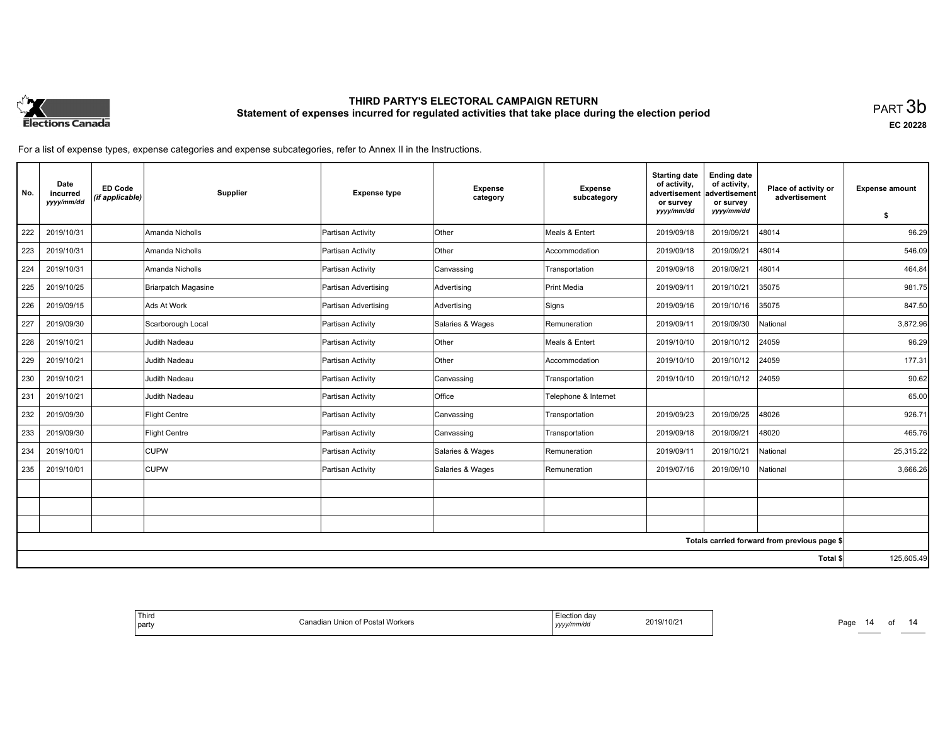

**EC 20228**

| No. | Date<br>incurred<br>yyyy/mm/dd | <b>ED Code</b><br>(if applicable) | Supplier             | <b>Expense type</b>  | <b>Expense</b><br>category | <b>Expense</b><br>subcategory | <b>Starting date</b><br>of activity,<br>advertisement<br>or survey | <b>Ending date</b><br>of activity,<br>advertisement<br>or survey | Place of activity or<br>advertisement        | <b>Expense amount</b> |
|-----|--------------------------------|-----------------------------------|----------------------|----------------------|----------------------------|-------------------------------|--------------------------------------------------------------------|------------------------------------------------------------------|----------------------------------------------|-----------------------|
|     |                                |                                   |                      |                      |                            |                               | yyyy/mm/dd                                                         | yyyy/mm/dd                                                       |                                              | \$                    |
| 222 | 2019/10/31                     |                                   | Amanda Nicholls      | Partisan Activity    | <b>Other</b>               | Meals & Entert                | 2019/09/18                                                         | 2019/09/21                                                       | 48014                                        | 96.29                 |
| 223 | 2019/10/31                     |                                   | Amanda Nicholls      | Partisan Activity    | <b>Other</b>               | Accommodation                 | 2019/09/18                                                         | 2019/09/21                                                       | 48014                                        | 546.09                |
| 224 | 2019/10/31                     |                                   | Amanda Nicholls      | Partisan Activity    | Canvassing                 | Transportation                | 2019/09/18                                                         | 2019/09/21                                                       | 48014                                        | 464.84                |
| 225 | 2019/10/25                     |                                   | Briarpatch Magasine  | Partisan Advertising | Advertising                | Print Media                   | 2019/09/11                                                         | 2019/10/21                                                       | 35075                                        | 981.75                |
| 226 | 2019/09/15                     |                                   | Ads At Work          | Partisan Advertising | Advertising                | Signs                         | 2019/09/16                                                         | 2019/10/16                                                       | 35075                                        | 847.50                |
| 227 | 2019/09/30                     |                                   | Scarborough Local    | Partisan Activity    | Salaries & Wages           | Remuneration                  | 2019/09/11                                                         | 2019/09/30                                                       | National                                     | 3.872.96              |
| 228 | 2019/10/21                     |                                   | Judith Nadeau        | Partisan Activity    | Other                      | Meals & Entert                | 2019/10/10                                                         | 2019/10/12                                                       | 24059                                        | 96.29                 |
| 229 | 2019/10/21                     |                                   | Judith Nadeau        | Partisan Activity    | Other                      | Accommodation                 | 2019/10/10                                                         | 2019/10/12                                                       | 24059                                        | 177.31                |
| 230 | 2019/10/21                     |                                   | Judith Nadeau        | Partisan Activity    | Canvassing                 | Transportation                | 2019/10/10                                                         | 2019/10/12                                                       | 24059                                        | 90.62                 |
| 231 | 2019/10/21                     |                                   | Judith Nadeau        | Partisan Activity    | Office                     | Telephone & Internet          |                                                                    |                                                                  |                                              | 65.00                 |
| 232 | 2019/09/30                     |                                   | Flight Centre        | Partisan Activity    | Canvassing                 | Transportation                | 2019/09/23                                                         | 2019/09/25                                                       | 48026                                        | 926.71                |
| 233 | 2019/09/30                     |                                   | <b>Flight Centre</b> | Partisan Activity    | Canvassing                 | Transportation                | 2019/09/18                                                         | 2019/09/21                                                       | 48020                                        | 465.76                |
| 234 | 2019/10/01                     |                                   | <b>CUPW</b>          | Partisan Activity    | Salaries & Wages           | Remuneration                  | 2019/09/11                                                         | 2019/10/21                                                       | National                                     | 25,315.22             |
| 235 | 2019/10/01                     |                                   | <b>CUPW</b>          | Partisan Activity    | Salaries & Wages           | Remuneration                  | 2019/07/16                                                         | 2019/09/10                                                       | National                                     | 3,666.26              |
|     |                                |                                   |                      |                      |                            |                               |                                                                    |                                                                  |                                              |                       |
|     |                                |                                   |                      |                      |                            |                               |                                                                    |                                                                  |                                              |                       |
|     |                                |                                   |                      |                      |                            |                               |                                                                    |                                                                  |                                              |                       |
|     |                                |                                   |                      |                      |                            |                               |                                                                    |                                                                  | Totals carried forward from previous page \$ |                       |
|     |                                |                                   |                      |                      |                            |                               |                                                                    |                                                                  | Total \$                                     | 125,605.49            |

| da<br>19/10/2<br>חה<br>'Worker.<br>Union<br>`on<br>$\cdots$<br>$-1$<br>1m/dc<br>$\sim$ | Third<br>party |
|----------------------------------------------------------------------------------------|----------------|
|----------------------------------------------------------------------------------------|----------------|